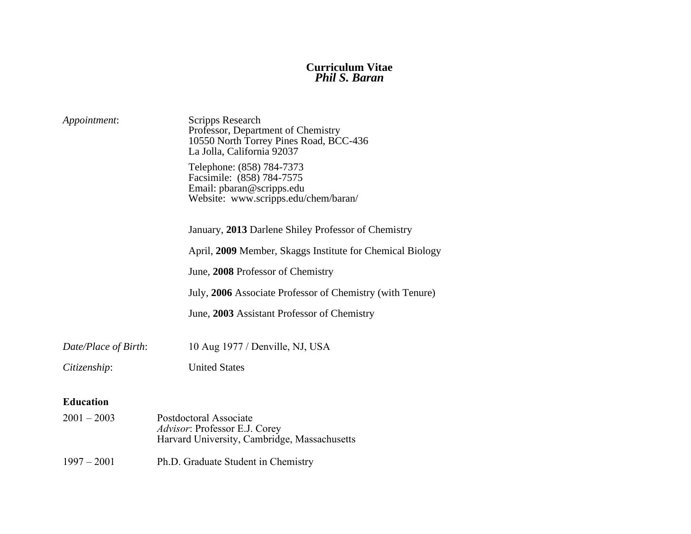#### **Curriculum Vitae** *Phil S. Baran*

| Appointment:         | Scripps Research<br>Professor, Department of Chemistry<br>10550 North Torrey Pines Road, BCC-436<br>La Jolla, California 92037 |
|----------------------|--------------------------------------------------------------------------------------------------------------------------------|
|                      | Telephone: (858) 784-7373<br>Facsimile: (858) 784-7575<br>Email: pbaran@scripps.edu<br>Website: www.scripps.edu/chem/baran/    |
|                      | January, 2013 Darlene Shiley Professor of Chemistry                                                                            |
|                      | April, 2009 Member, Skaggs Institute for Chemical Biology                                                                      |
|                      | June, 2008 Professor of Chemistry                                                                                              |
|                      | July, 2006 Associate Professor of Chemistry (with Tenure)                                                                      |
|                      | June, 2003 Assistant Professor of Chemistry                                                                                    |
| Date/Place of Birth: | 10 Aug 1977 / Denville, NJ, USA                                                                                                |
| Citizenship:         | <b>United States</b>                                                                                                           |
| <b>Education</b>     |                                                                                                                                |
| $2001 - 2003$        | Postdoctoral Associate<br>Advisor: Professor E.J. Corey<br>Harvard University, Cambridge, Massachusetts                        |

1997 – 2001 Ph.D. Graduate Student in Chemistry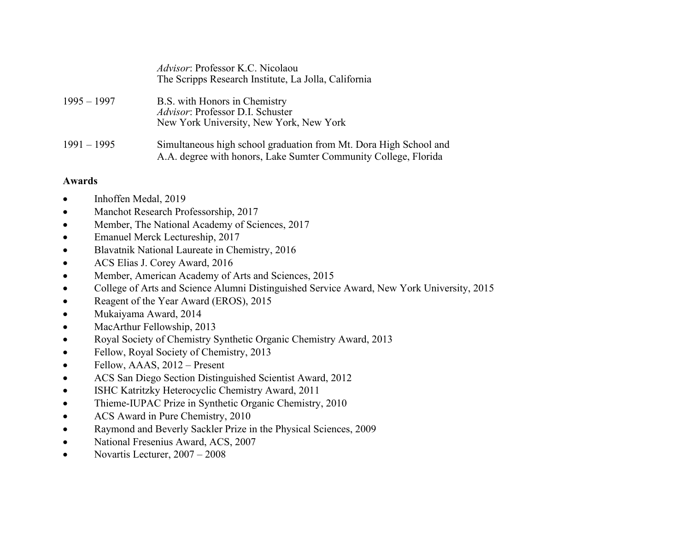|               | <i>Advisor:</i> Professor K.C. Nicolaou<br>The Scripps Research Institute, La Jolla, California                                      |
|---------------|--------------------------------------------------------------------------------------------------------------------------------------|
| 1995 – 1997   | B.S. with Honors in Chemistry<br>Advisor: Professor D.I. Schuster<br>New York University, New York, New York                         |
| $1991 - 1995$ | Simultaneous high school graduation from Mt. Dora High School and<br>A.A. degree with honors, Lake Sumter Community College, Florida |

## **Awards**

- Inhoffen Medal, 2019
- Manchot Research Professorship, 2017
- Member, The National Academy of Sciences, 2017
- Emanuel Merck Lectureship, 2017
- Blavatnik National Laureate in Chemistry, 2016
- ACS Elias J. Corey Award, 2016
- Member, American Academy of Arts and Sciences, 2015
- College of Arts and Science Alumni Distinguished Service Award, New York University, 2015
- Reagent of the Year Award (EROS), 2015
- Mukaiyama Award, 2014
- MacArthur Fellowship, 2013
- Royal Society of Chemistry Synthetic Organic Chemistry Award, 2013
- Fellow, Royal Society of Chemistry, 2013
- Fellow, AAAS, 2012 Present
- ACS San Diego Section Distinguished Scientist Award, 2012
- ISHC Katritzky Heterocyclic Chemistry Award, 2011
- Thieme-IUPAC Prize in Synthetic Organic Chemistry, 2010
- ACS Award in Pure Chemistry, 2010
- Raymond and Beverly Sackler Prize in the Physical Sciences, 2009
- National Fresenius Award, ACS, 2007
- Novartis Lecturer,  $2007 2008$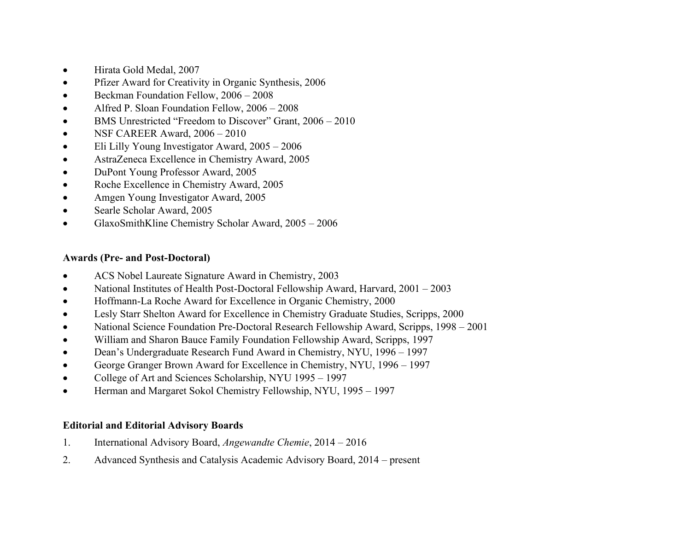- Hirata Gold Medal, 2007
- Pfizer Award for Creativity in Organic Synthesis, 2006
- Beckman Foundation Fellow,  $2006 2008$
- Alfred P. Sloan Foundation Fellow, 2006 2008
- BMS Unrestricted "Freedom to Discover" Grant, 2006 2010
- NSF CAREER Award,  $2006 2010$
- Eli Lilly Young Investigator Award,  $2005 2006$
- AstraZeneca Excellence in Chemistry Award, 2005
- DuPont Young Professor Award, 2005
- Roche Excellence in Chemistry Award, 2005
- Amgen Young Investigator Award, 2005
- Searle Scholar Award, 2005
- GlaxoSmithKline Chemistry Scholar Award, 2005 2006

## **Awards (Pre- and Post-Doctoral)**

- ACS Nobel Laureate Signature Award in Chemistry, 2003
- National Institutes of Health Post-Doctoral Fellowship Award, Harvard, 2001 2003
- Hoffmann-La Roche Award for Excellence in Organic Chemistry, 2000
- Lesly Starr Shelton Award for Excellence in Chemistry Graduate Studies, Scripps, 2000
- National Science Foundation Pre-Doctoral Research Fellowship Award, Scripps, 1998 2001
- William and Sharon Bauce Family Foundation Fellowship Award, Scripps, 1997
- Dean's Undergraduate Research Fund Award in Chemistry, NYU, 1996 1997
- George Granger Brown Award for Excellence in Chemistry, NYU, 1996 1997
- College of Art and Sciences Scholarship, NYU 1995 1997
- Herman and Margaret Sokol Chemistry Fellowship, NYU, 1995 1997

# **Editorial and Editorial Advisory Boards**

- 1. International Advisory Board, *Angewandte Chemie*, 2014 2016
- 2. Advanced Synthesis and Catalysis Academic Advisory Board, 2014 present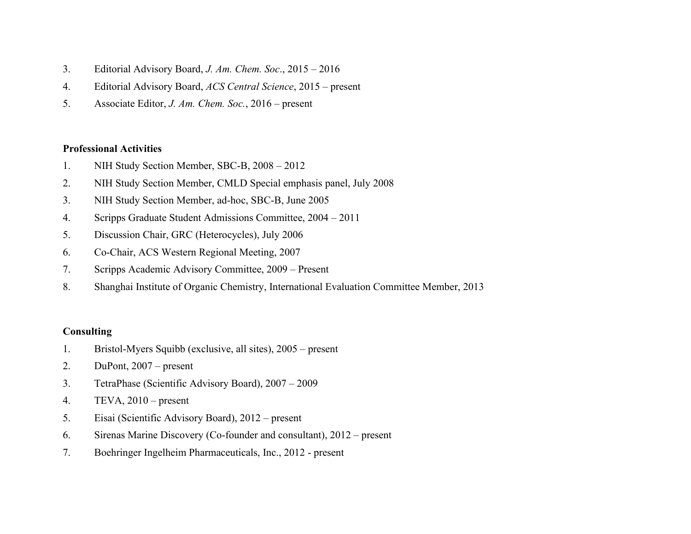- 3. Editorial Advisory Board, *J. Am. Chem. Soc*., 2015 2016
- 4. Editorial Advisory Board, *ACS Central Science*, 2015 present
- 5. Associate Editor, *J. Am. Chem. Soc.*, 2016 present

#### **Professional Activities**

- 1. NIH Study Section Member, SBC-B, 2008 2012
- 2. NIH Study Section Member, CMLD Special emphasis panel, July 2008
- 3. NIH Study Section Member, ad-hoc, SBC-B, June 2005
- 4. Scripps Graduate Student Admissions Committee, 2004 2011
- 5. Discussion Chair, GRC (Heterocycles), July 2006
- 6. Co-Chair, ACS Western Regional Meeting, 2007
- 7. Scripps Academic Advisory Committee, 2009 Present
- 8. Shanghai Institute of Organic Chemistry, International Evaluation Committee Member, 2013

## **Consulting**

- 1. Bristol-Myers Squibb (exclusive, all sites), 2005 present
- 2. DuPont, 2007 present
- 3. TetraPhase (Scientific Advisory Board), 2007 2009
- 4. TEVA, 2010 present
- 5. Eisai (Scientific Advisory Board), 2012 present
- 6. Sirenas Marine Discovery (Co-founder and consultant), 2012 present
- 7. Boehringer Ingelheim Pharmaceuticals, Inc., 2012 present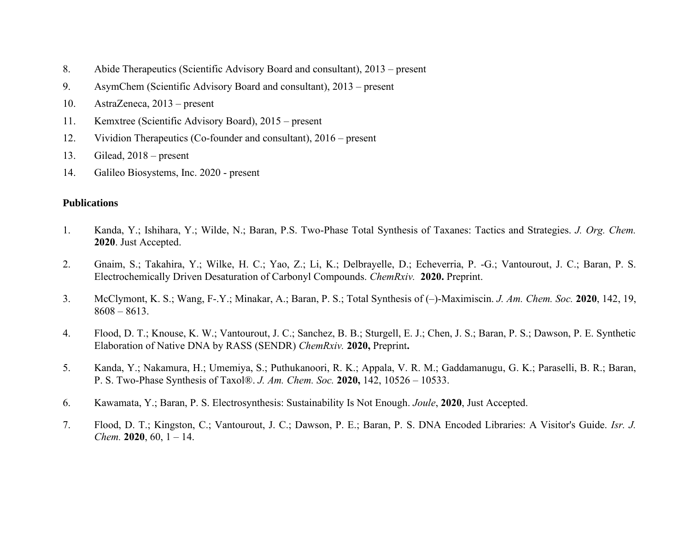- 8. Abide Therapeutics (Scientific Advisory Board and consultant), 2013 present
- 9. AsymChem (Scientific Advisory Board and consultant), 2013 present
- 10. AstraZeneca, 2013 present
- 11. Kemxtree (Scientific Advisory Board), 2015 present
- 12. Vividion Therapeutics (Co-founder and consultant), 2016 present
- 13. Gilead, 2018 present
- 14. Galileo Biosystems, Inc. 2020 present

## **Publications**

- 1. Kanda, Y.; Ishihara, Y.; Wilde, N.; Baran, P.S. Two-Phase Total Synthesis of Taxanes: Tactics and Strategies. *J. Org. Chem.* **2020**. Just Accepted.
- 2. Gnaim, S.; Takahira, Y.; Wilke, H. C.; Yao, Z.; Li, K.; Delbrayelle, D.; Echeverria, P. -G.; Vantourout, J. C.; Baran, P. S. Electrochemically Driven Desaturation of Carbonyl Compounds. *ChemRxiv.* **2020.** Preprint.
- 3. McClymont, K. S.; Wang, F-.Y.; Minakar, A.; Baran, P. S.; Total Synthesis of (–)-Maximiscin. *J. Am. Chem. Soc.* **2020**, 142, 19, 8608 – 8613.
- 4. Flood, D. T.; Knouse, K. W.; Vantourout, J. C.; Sanchez, B. B.; Sturgell, E. J.; Chen, J. S.; Baran, P. S.; Dawson, P. E. Synthetic Elaboration of Native DNA by RASS (SENDR) *ChemRxiv.* **2020,** Preprint**.**
- 5. Kanda, Y.; Nakamura, H.; Umemiya, S.; Puthukanoori, R. K.; Appala, V. R. M.; Gaddamanugu, G. K.; Paraselli, B. R.; Baran, P. S. Two-Phase Synthesis of Taxol®. *J. Am. Chem. Soc.* **2020,** 142, 10526 – 10533.
- 6. Kawamata, Y.; Baran, P. S. Electrosynthesis: Sustainability Is Not Enough. *Joule*, **2020**, Just Accepted.
- 7. Flood, D. T.; Kingston, C.; Vantourout, J. C.; Dawson, P. E.; Baran, P. S. DNA Encoded Libraries: A Visitor's Guide. *Isr. J. Chem.* **2020**, 60, 1 – 14.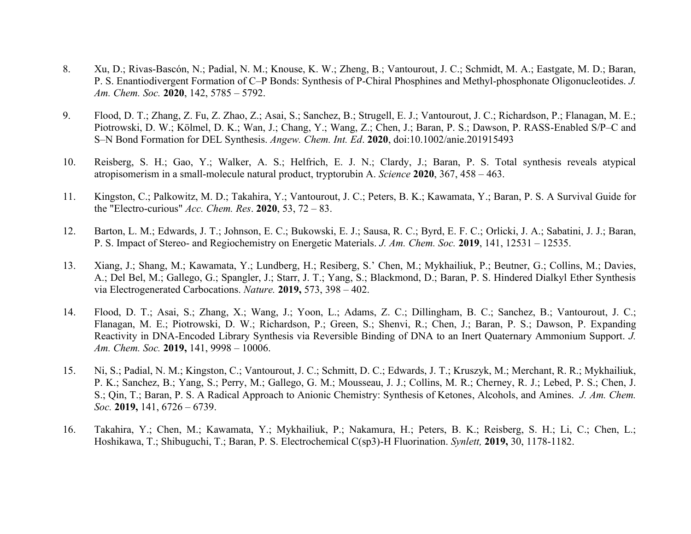- 8. Xu, D.; Rivas-Bascón, N.; Padial, N. M.; Knouse, K. W.; Zheng, B.; Vantourout, J. C.; Schmidt, M. A.; Eastgate, M. D.; Baran, P. S. Enantiodivergent Formation of C–P Bonds: Synthesis of P-Chiral Phosphines and Methyl-phosphonate Oligonucleotides. *J. Am. Chem. Soc.* **2020**, 142, 5785 – 5792.
- 9. Flood, D. T.; Zhang, Z. Fu, Z. Zhao, Z.; Asai, S.; Sanchez, B.; Strugell, E. J.; Vantourout, J. C.; Richardson, P.; Flanagan, M. E.; Piotrowski, D. W.; Kölmel, D. K.; Wan, J.; Chang, Y.; Wang, Z.; Chen, J.; Baran, P. S.; Dawson, P. RASS-Enabled S/P–C and S–N Bond Formation for DEL Synthesis. *Angew. Chem. Int. Ed*. **2020**, doi:10.1002/anie.201915493
- 10. Reisberg, S. H.; Gao, Y.; Walker, A. S.; Helfrich, E. J. N.; Clardy, J.; Baran, P. S. Total synthesis reveals atypical atropisomerism in a small-molecule natural product, tryptorubin A. *Science* **2020**, 367, 458 – 463.
- 11. Kingston, C.; Palkowitz, M. D.; Takahira, Y.; Vantourout, J. C.; Peters, B. K.; Kawamata, Y.; Baran, P. S. A Survival Guide for the "Electro-curious" *Acc. Chem. Res*. **2020**, 53, 72 – 83.
- 12. Barton, L. M.; Edwards, J. T.; Johnson, E. C.; Bukowski, E. J.; Sausa, R. C.; Byrd, E. F. C.; Orlicki, J. A.; Sabatini, J. J.; Baran, P. S. Impact of Stereo- and Regiochemistry on Energetic Materials. *J. Am. Chem. Soc.* **2019**, 141, 12531 – 12535.
- 13. Xiang, J.; Shang, M.; Kawamata, Y.; Lundberg, H.; Resiberg, S.' Chen, M.; Mykhailiuk, P.; Beutner, G.; Collins, M.; Davies, A.; Del Bel, M.; Gallego, G.; Spangler, J.; Starr, J. T.; Yang, S.; Blackmond, D.; Baran, P. S. Hindered Dialkyl Ether Synthesis via Electrogenerated Carbocations. *Nature.* **2019,** 573, 398 – 402.
- 14. Flood, D. T.; Asai, S.; Zhang, X.; Wang, J.; Yoon, L.; Adams, Z. C.; Dillingham, B. C.; Sanchez, B.; Vantourout, J. C.; Flanagan, M. E.; Piotrowski, D. W.; Richardson, P.; Green, S.; Shenvi, R.; Chen, J.; Baran, P. S.; Dawson, P. Expanding Reactivity in DNA-Encoded Library Synthesis via Reversible Binding of DNA to an Inert Quaternary Ammonium Support. *J. Am. Chem. Soc.* **2019,** 141, 9998 – 10006.
- 15. Ni, S.; Padial, N. M.; Kingston, C.; Vantourout, J. C.; Schmitt, D. C.; Edwards, J. T.; Kruszyk, M.; Merchant, R. R.; Mykhailiuk, P. K.; Sanchez, B.; Yang, S.; Perry, M.; Gallego, G. M.; Mousseau, J. J.; Collins, M. R.; Cherney, R. J.; Lebed, P. S.; Chen, J. S.; Qin, T.; Baran, P. S. A Radical Approach to Anionic Chemistry: Synthesis of Ketones, Alcohols, and Amines. *J. Am. Chem. Soc.* **2019,** 141, 6726 – 6739.
- 16. Takahira, Y.; Chen, M.; Kawamata, Y.; Mykhailiuk, P.; Nakamura, H.; Peters, B. K.; Reisberg, S. H.; Li, C.; Chen, L.; Hoshikawa, T.; Shibuguchi, T.; Baran, P. S. Electrochemical C(sp3)-H Fluorination. *Synlett,* **2019,** 30, 1178-1182.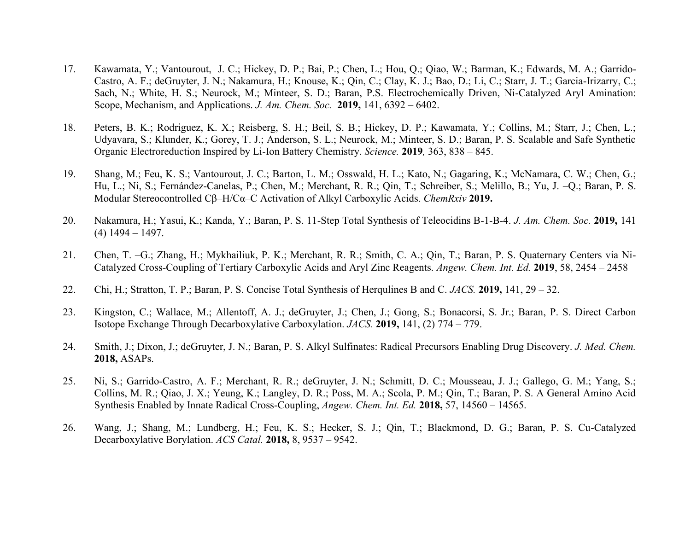- 17. Kawamata, Y.; Vantourout, J. C.; Hickey, D. P.; Bai, P.; Chen, L.; Hou, Q.; Qiao, W.; Barman, K.; Edwards, M. A.; Garrido-Castro, A. F.; deGruyter, J. N.; Nakamura, H.; Knouse, K.; Qin, C.; Clay, K. J.; Bao, D.; Li, C.; Starr, J. T.; Garcia-Irizarry, C.; Sach, N.; White, H. S.; Neurock, M.; Minteer, S. D.; Baran, P.S. Electrochemically Driven, Ni-Catalyzed Aryl Amination: Scope, Mechanism, and Applications. *J. Am. Chem. Soc.* **2019,** 141, 6392 – 6402.
- 18. Peters, B. K.; Rodriguez, K. X.; Reisberg, S. H.; Beil, S. B.; Hickey, D. P.; Kawamata, Y.; Collins, M.; Starr, J.; Chen, L.; Udyavara, S.; Klunder, K.; Gorey, T. J.; Anderson, S. L.; Neurock, M.; Minteer, S. D.; Baran, P. S. Scalable and Safe Synthetic Organic Electroreduction Inspired by Li-Ion Battery Chemistry. *Science.* **2019***,* 363, 838 – 845.
- 19. Shang, M.; Feu, K. S.; Vantourout, J. C.; Barton, L. M.; Osswald, H. L.; Kato, N.; Gagaring, K.; McNamara, C. W.; Chen, G.; Hu, L.; Ni, S.; Fernández-Canelas, P.; Chen, M.; Merchant, R. R.; Qin, T.; Schreiber, S.; Melillo, B.; Yu, J. –Q.; Baran, P. S. Modular Stereocontrolled Cβ–H/Cα–C Activation of Alkyl Carboxylic Acids. *ChemRxiv* **2019.**
- 20. Nakamura, H.; Yasui, K.; Kanda, Y.; Baran, P. S. 11-Step Total Synthesis of Teleocidins B-1-B-4. *J. Am. Chem. Soc.* **2019,** 141  $(4)$  1494 – 1497.
- 21. Chen, T. –G.; Zhang, H.; Mykhailiuk, P. K.; Merchant, R. R.; Smith, C. A.; Qin, T.; Baran, P. S. Quaternary Centers via Ni-Catalyzed Cross-Coupling of Tertiary Carboxylic Acids and Aryl Zinc Reagents. *Angew. Chem. Int. Ed.* **2019**, 58, 2454 – 2458
- 22. Chi, H.; Stratton, T. P.; Baran, P. S. Concise Total Synthesis of Herqulines B and C. *JACS.* **2019,** 141, 29 32.
- 23. Kingston, C.; Wallace, M.; Allentoff, A. J.; deGruyter, J.; Chen, J.; Gong, S.; Bonacorsi, S. Jr.; Baran, P. S. Direct Carbon Isotope Exchange Through Decarboxylative Carboxylation. *JACS.* **2019,** 141, (2) 774 – 779.
- 24. Smith, J.; Dixon, J.; deGruyter, J. N.; Baran, P. S. Alkyl Sulfinates: Radical Precursors Enabling Drug Discovery. *J. Med. Chem.* **2018,** ASAPs.
- 25. Ni, S.; Garrido-Castro, A. F.; Merchant, R. R.; deGruyter, J. N.; Schmitt, D. C.; Mousseau, J. J.; Gallego, G. M.; Yang, S.; Collins, M. R.; Qiao, J. X.; Yeung, K.; Langley, D. R.; Poss, M. A.; Scola, P. M.; Qin, T.; Baran, P. S. A General Amino Acid Synthesis Enabled by Innate Radical Cross-Coupling, *Angew. Chem. Int. Ed.* **2018,** 57, 14560 – 14565.
- 26. Wang, J.; Shang, M.; Lundberg, H.; Feu, K. S.; Hecker, S. J.; Qin, T.; Blackmond, D. G.; Baran, P. S. Cu-Catalyzed Decarboxylative Borylation. *ACS Catal.* **2018,** 8, 9537 – 9542.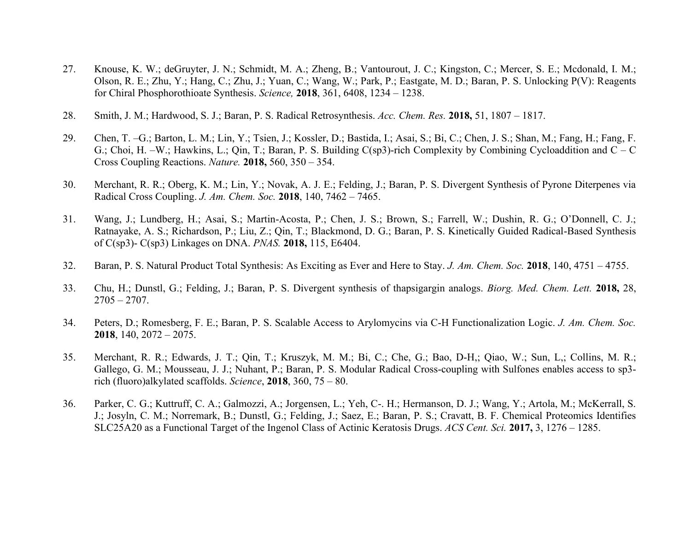- 27. Knouse, K. W.; deGruyter, J. N.; Schmidt, M. A.; Zheng, B.; Vantourout, J. C.; Kingston, C.; Mercer, S. E.; Mcdonald, I. M.; Olson, R. E.; Zhu, Y.; Hang, C.; Zhu, J.; Yuan, C.; Wang, W.; Park, P.; Eastgate, M. D.; Baran, P. S. Unlocking P(V): Reagents for Chiral Phosphorothioate Synthesis. *Science,* **2018**, 361, 6408, 1234 – 1238.
- 28. Smith, J. M.; Hardwood, S. J.; Baran, P. S. Radical Retrosynthesis. *Acc. Chem. Res.* **2018,** 51, 1807 1817.
- 29. Chen, T. –G.; Barton, L. M.; Lin, Y.; Tsien, J.; Kossler, D.; Bastida, I.; Asai, S.; Bi, C.; Chen, J. S.; Shan, M.; Fang, H.; Fang, F. G.; Choi, H. –W.; Hawkins, L.; Qin, T.; Baran, P. S. Building C(sp3)-rich Complexity by Combining Cycloaddition and C – C Cross Coupling Reactions. *Nature.* **2018,** 560, 350 – 354.
- 30. Merchant, R. R.; Oberg, K. M.; Lin, Y.; Novak, A. J. E.; Felding, J.; Baran, P. S. Divergent Synthesis of Pyrone Diterpenes via Radical Cross Coupling. *J. Am. Chem. Soc.* **2018**, 140, 7462 – 7465.
- 31. Wang, J.; Lundberg, H.; Asai, S.; Martin-Acosta, P.; Chen, J. S.; Brown, S.; Farrell, W.; Dushin, R. G.; O'Donnell, C. J.; Ratnayake, A. S.; Richardson, P.; Liu, Z.; Qin, T.; Blackmond, D. G.; Baran, P. S. Kinetically Guided Radical-Based Synthesis of C(sp3)- C(sp3) Linkages on DNA. *PNAS.* **2018,** 115, E6404.
- 32. Baran, P. S. Natural Product Total Synthesis: As Exciting as Ever and Here to Stay. *J. Am. Chem. Soc.* **2018**, 140, 4751 4755.
- 33. Chu, H.; Dunstl, G.; Felding, J.; Baran, P. S. Divergent synthesis of thapsigargin analogs. *Biorg. Med. Chem. Lett.* **2018,** 28,  $2705 - 2707$ .
- 34. Peters, D.; Romesberg, F. E.; Baran, P. S. Scalable Access to Arylomycins via C-H Functionalization Logic. *J. Am. Chem. Soc.* **2018**, 140, 2072 – 2075.
- 35. Merchant, R. R.; Edwards, J. T.; Qin, T.; Kruszyk, M. M.; Bi, C.; Che, G.; Bao, D-H,; Qiao, W.; Sun, L,; Collins, M. R.; Gallego, G. M.; Mousseau, J. J.; Nuhant, P.; Baran, P. S. Modular Radical Cross-coupling with Sulfones enables access to sp3 rich (fluoro)alkylated scaffolds. *Science*, **2018**, 360, 75 – 80.
- 36. Parker, C. G.; Kuttruff, C. A.; Galmozzi, A.; Jorgensen, L.; Yeh, C-. H.; Hermanson, D. J.; Wang, Y.; Artola, M.; McKerrall, S. J.; Josyln, C. M.; Norremark, B.; Dunstl, G.; Felding, J.; Saez, E.; Baran, P. S.; Cravatt, B. F. Chemical Proteomics Identifies SLC25A20 as a Functional Target of the Ingenol Class of Actinic Keratosis Drugs. *ACS Cent. Sci.* **2017,** 3, 1276 – 1285.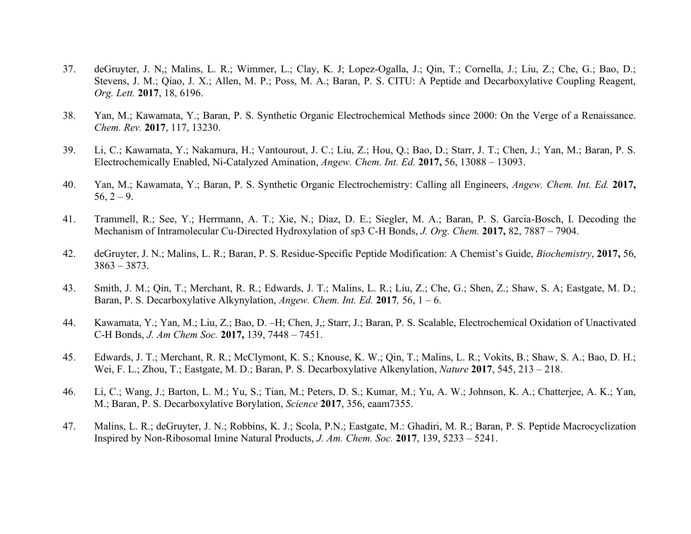- 37. deGruyter, J. N,; Malins, L. R.; Wimmer, L.; Clay, K. J; Lopez-Ogalla, J.; Qin, T.; Cornella, J.; Liu, Z.; Che, G.; Bao, D.; Stevens, J. M.; Qiao, J. X.; Allen, M. P.; Poss, M. A.; Baran, P. S. CITU: A Peptide and Decarboxylative Coupling Reagent, *Org. Lett.* **2017**, 18, 6196.
- 38. Yan, M.; Kawamata, Y.; Baran, P. S. Synthetic Organic Electrochemical Methods since 2000: On the Verge of a Renaissance. *Chem. Rev.* **2017**, 117, 13230.
- 39. Li, C.; Kawamata, Y.; Nakamura, H.; Vantourout, J. C.; Liu, Z.; Hou, Q.; Bao, D.; Starr, J. T.; Chen, J.; Yan, M.; Baran, P. S. Electrochemically Enabled, Ni-Catalyzed Amination, *Angew. Chem. Int. Ed.* **2017,** 56, 13088 – 13093.
- 40. Yan, M.; Kawamata, Y.; Baran, P. S. Synthetic Organic Electrochemistry: Calling all Engineers, *Angew. Chem. Int. Ed.* **2017,**   $56, 2 - 9.$
- 41. Trammell, R.; See, Y.; Herrmann, A. T.; Xie, N.; Diaz, D. E.; Siegler, M. A.; Baran, P. S. Garcia-Bosch, I. Decoding the Mechanism of Intramolecular Cu-Directed Hydroxylation of sp3 C-H Bonds, *J. Org. Chem.* **2017,** 82, 7887 – 7904.
- 42. deGruyter, J. N.; Malins, L. R.; Baran, P. S. Residue-Specific Peptide Modification: A Chemist's Guide, *Biochemistry*, **2017,** 56, 3863 – 3873.
- 43. Smith, J. M.; Qin, T.; Merchant, R. R.; Edwards, J. T.; Malins, L. R.; Liu, Z.; Che, G.; Shen, Z.; Shaw, S. A; Eastgate, M. D.; Baran, P. S. Decarboxylative Alkynylation, *Angew. Chem. Int. Ed.* **2017***,* 56, 1 – 6.
- 44. Kawamata, Y.; Yan, M.; Liu, Z.; Bao, D. –H; Chen, J,; Starr, J.; Baran, P. S. Scalable, Electrochemical Oxidation of Unactivated C-H Bonds, *J. Am Chem Soc.* **2017,** 139, 7448 – 7451.
- 45. Edwards, J. T.; Merchant, R. R.; McClymont, K. S.; Knouse, K. W.; Qin, T.; Malins, L. R.; Vokits, B.; Shaw, S. A.; Bao, D. H.; Wei, F. L.; Zhou, T.; Eastgate, M. D.; Baran, P. S. Decarboxylative Alkenylation, *Nature* **2017**, 545, 213 – 218.
- 46. Li, C.; Wang, J.; Barton, L. M.; Yu, S.; Tian, M.; Peters, D. S.; Kumar, M.; Yu, A. W.; Johnson, K. A.; Chatterjee, A. K.; Yan, M.; Baran, P. S. Decarboxylative Borylation, *Science* **2017**, 356, eaam7355.
- 47. Malins, L. R.; deGruyter, J. N.; Robbins, K. J.; Scola, P.N.; Eastgate, M.: Ghadiri, M. R.; Baran, P. S. Peptide Macrocyclization Inspired by Non-Ribosomal Imine Natural Products, *J. Am. Chem. Soc.* **2017**, 139, 5233 – 5241.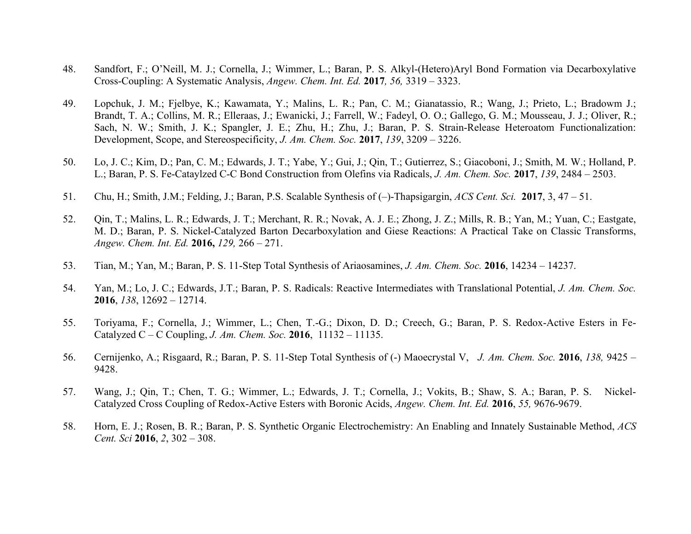- 48. Sandfort, F.; O'Neill, M. J.; Cornella, J.; Wimmer, L.; Baran, P. S. Alkyl-(Hetero)Aryl Bond Formation via Decarboxylative Cross-Coupling: A Systematic Analysis, *Angew. Chem. Int. Ed.* **2017***, 56,* 3319 – 3323.
- 49. Lopchuk, J. M.; Fjelbye, K.; Kawamata, Y.; Malins, L. R.; Pan, C. M.; Gianatassio, R.; Wang, J.; Prieto, L.; Bradowm J.; Brandt, T. A.; Collins, M. R.; Elleraas, J.; Ewanicki, J.; Farrell, W.; Fadeyl, O. O.; Gallego, G. M.; Mousseau, J. J.; Oliver, R.; Sach, N. W.; Smith, J. K.; Spangler, J. E.; Zhu, H.; Zhu, J.; Baran, P. S. Strain-Release Heteroatom Functionalization: Development, Scope, and Stereospecificity, *J. Am. Chem. Soc.* **2017**, *139*, 3209 – 3226.
- 50. Lo, J. C.; Kim, D.; Pan, C. M.; Edwards, J. T.; Yabe, Y.; Gui, J.; Qin, T.; Gutierrez, S.; Giacoboni, J.; Smith, M. W.; Holland, P. L.; Baran, P. S. Fe-Cataylzed C-C Bond Construction from Olefins via Radicals, *J. Am. Chem. Soc.* **2017**, *139*, 2484 – 2503.
- 51. Chu, H.; Smith, J.M.; Felding, J.; Baran, P.S. Scalable Synthesis of (–)-Thapsigargin, *ACS Cent. Sci.* **2017**, 3, 47 51.
- 52. Qin, T.; Malins, L. R.; Edwards, J. T.; Merchant, R. R.; Novak, A. J. E.; Zhong, J. Z.; Mills, R. B.; Yan, M.; Yuan, C.; Eastgate, M. D.; Baran, P. S. Nickel-Catalyzed Barton Decarboxylation and Giese Reactions: A Practical Take on Classic Transforms, *Angew. Chem. Int. Ed.* **2016,** *129,* 266 – 271.
- 53. Tian, M.; Yan, M.; Baran, P. S. 11-Step Total Synthesis of Ariaosamines, *J. Am. Chem. Soc.* **2016**, 14234 14237.
- 54. Yan, M.; Lo, J. C.; Edwards, J.T.; Baran, P. S. Radicals: Reactive Intermediates with Translational Potential, *J. Am. Chem. Soc.* **2016**, *138*, 12692 – 12714.
- 55. Toriyama, F.; Cornella, J.; Wimmer, L.; Chen, T.-G.; Dixon, D. D.; Creech, G.; Baran, P. S. Redox-Active Esters in Fe-Catalyzed C – C Coupling, *J. Am. Chem. Soc.* **2016**, 11132 – 11135.
- 56. Cernijenko, A.; Risgaard, R.; Baran, P. S. 11-Step Total Synthesis of (-) Maoecrystal V, *J. Am. Chem. Soc.* **2016**, *138,* 9425 9428.
- 57. Wang, J.; Qin, T.; Chen, T. G.; Wimmer, L.; Edwards, J. T.; Cornella, J.; Vokits, B.; Shaw, S. A.; Baran, P. S. Nickel-Catalyzed Cross Coupling of Redox-Active Esters with Boronic Acids, *Angew. Chem. Int. Ed.* **2016**, *55,* 9676-9679.
- 58. Horn, E. J.; Rosen, B. R.; Baran, P. S. Synthetic Organic Electrochemistry: An Enabling and Innately Sustainable Method, *ACS Cent. Sci* **2016**, *2*, 302 – 308.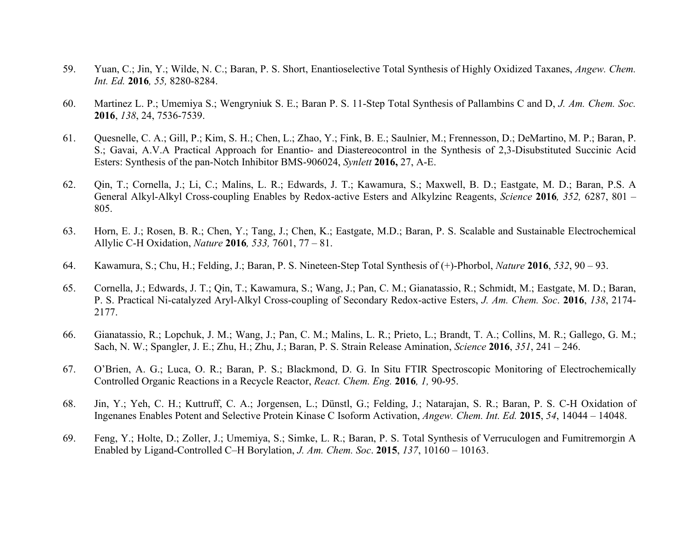- 59. Yuan, C.; Jin, Y.; Wilde, N. C.; Baran, P. S. Short, Enantioselective Total Synthesis of Highly Oxidized Taxanes, *Angew. Chem. Int. Ed.* **2016***, 55,* 8280-8284.
- 60. Martinez L. P.; Umemiya S.; Wengryniuk S. E.; Baran P. S. 11-Step Total Synthesis of Pallambins C and D, *J. Am. Chem. Soc.*  **2016**, *138*, 24, 7536-7539.
- 61. Quesnelle, C. A.; Gill, P.; Kim, S. H.; Chen, L.; Zhao, Y.; Fink, B. E.; Saulnier, M.; Frennesson, D.; DeMartino, M. P.; Baran, P. S.; Gavai, A.V.A Practical Approach for Enantio- and Diastereocontrol in the Synthesis of 2,3-Disubstituted Succinic Acid Esters: Synthesis of the pan-Notch Inhibitor BMS-906024, *Synlett* **2016,** 27, A-E.
- 62. Qin, T.; Cornella, J.; Li, C.; Malins, L. R.; Edwards, J. T.; Kawamura, S.; Maxwell, B. D.; Eastgate, M. D.; Baran, P.S. A General Alkyl-Alkyl Cross-coupling Enables by Redox-active Esters and Alkylzinc Reagents, *Science* **2016***, 352,* 6287, 801 – 805.
- 63. Horn, E. J.; Rosen, B. R.; Chen, Y.; Tang, J.; Chen, K.; Eastgate, M.D.; Baran, P. S. Scalable and Sustainable Electrochemical Allylic C-H Oxidation, *Nature* **2016***, 533,* 7601, 77 – 81.
- 64. Kawamura, S.; Chu, H.; Felding, J.; Baran, P. S. Nineteen-Step Total Synthesis of (+)-Phorbol, *Nature* **2016**, *532*, 90 93.
- 65. Cornella, J.; Edwards, J. T.; Qin, T.; Kawamura, S.; Wang, J.; Pan, C. M.; Gianatassio, R.; Schmidt, M.; Eastgate, M. D.; Baran, P. S. Practical Ni-catalyzed Aryl-Alkyl Cross-coupling of Secondary Redox-active Esters, *J. Am. Chem. Soc*. **2016**, *138*, 2174- 2177.
- 66. Gianatassio, R.; Lopchuk, J. M.; Wang, J.; Pan, C. M.; Malins, L. R.; Prieto, L.; Brandt, T. A.; Collins, M. R.; Gallego, G. M.; Sach, N. W.; Spangler, J. E.; Zhu, H.; Zhu, J.; Baran, P. S. Strain Release Amination, *Science* **2016**, *351*, 241 – 246.
- 67. O'Brien, A. G.; Luca, O. R.; Baran, P. S.; Blackmond, D. G. In Situ FTIR Spectroscopic Monitoring of Electrochemically Controlled Organic Reactions in a Recycle Reactor, *React. Chem. Eng.* **2016***, 1,* 90-95.
- 68. Jin, Y.; Yeh, C. H.; Kuttruff, C. A.; Jorgensen, L.; Dünstl, G.; Felding, J.; Natarajan, S. R.; Baran, P. S. C-H Oxidation of Ingenanes Enables Potent and Selective Protein Kinase C Isoform Activation, *Angew. Chem. Int. Ed.* **2015**, *54*, 14044 – 14048.
- 69. Feng, Y.; Holte, D.; Zoller, J.; Umemiya, S.; Simke, L. R.; Baran, P. S. Total Synthesis of Verruculogen and Fumitremorgin A Enabled by Ligand-Controlled C–H Borylation, *J. Am. Chem. Soc*. **2015**, *137*, 10160 – 10163.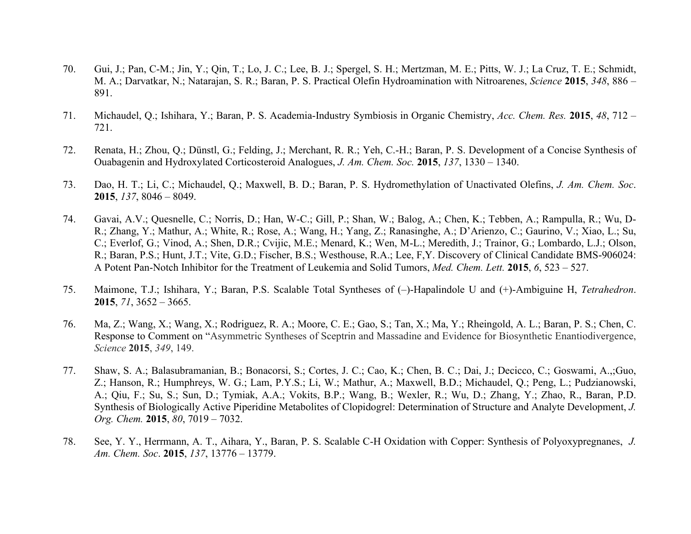- 70. Gui, J.; Pan, C-M.; Jin, Y.; Qin, T.; Lo, J. C.; Lee, B. J.; Spergel, S. H.; Mertzman, M. E.; Pitts, W. J.; La Cruz, T. E.; Schmidt, M. A.; Darvatkar, N.; Natarajan, S. R.; Baran, P. S. Practical Olefin Hydroamination with Nitroarenes, *Science* **2015**, *348*, 886 – 891.
- 71. Michaudel, Q.; Ishihara, Y.; Baran, P. S. Academia-Industry Symbiosis in Organic Chemistry, *Acc. Chem. Res.* **2015**, *48*, 712 721.
- 72. Renata, H.; Zhou, Q.; Dünstl, G.; Felding, J.; Merchant, R. R.; Yeh, C.-H.; Baran, P. S. Development of a Concise Synthesis of Ouabagenin and Hydroxylated Corticosteroid Analogues, *J. Am. Chem. Soc.* **2015**, *137*, 1330 – 1340.
- 73. Dao, H. T.; Li, C.; Michaudel, Q.; Maxwell, B. D.; Baran, P. S. Hydromethylation of Unactivated Olefins, *J. Am. Chem. Soc*. **2015**, *137*, 8046 – 8049.
- 74. Gavai, A.V.; Quesnelle, C.; Norris, D.; Han, W-C.; Gill, P.; Shan, W.; Balog, A.; Chen, K.; Tebben, A.; Rampulla, R.; Wu, D-R.; Zhang, Y.; Mathur, A.; White, R.; Rose, A.; Wang, H.; Yang, Z.; Ranasinghe, A.; D'Arienzo, C.; Gaurino, V.; Xiao, L.; Su, C.; Everlof, G.; Vinod, A.; Shen, D.R.; Cvijic, M.E.; Menard, K.; Wen, M-L.; Meredith, J.; Trainor, G.; Lombardo, L.J.; Olson, R.; Baran, P.S.; Hunt, J.T.; Vite, G.D.; Fischer, B.S.; Westhouse, R.A.; Lee, F,Y. Discovery of Clinical Candidate BMS-906024: A Potent Pan-Notch Inhibitor for the Treatment of Leukemia and Solid Tumors, *Med. Chem. Lett.* **2015**, *6*, 523 – 527.
- 75. Maimone, T.J.; Ishihara, Y.; Baran, P.S. Scalable Total Syntheses of (–)-Hapalindole U and (+)-Ambiguine H, *Tetrahedron*. **2015**, *71*, 3652 – 3665.
- 76. Ma, Z.; Wang, X.; Wang, X.; Rodriguez, R. A.; Moore, C. E.; Gao, S.; Tan, X.; Ma, Y.; Rheingold, A. L.; Baran, P. S.; Chen, C. Response to Comment on "Asymmetric Syntheses of Sceptrin and Massadine and Evidence for Biosynthetic Enantiodivergence, *Science* **2015**, *349*, 149.
- 77. Shaw, S. A.; Balasubramanian, B.; Bonacorsi, S.; Cortes, J. C.; Cao, K.; Chen, B. C.; Dai, J.; Decicco, C.; Goswami, A.,;Guo, Z.; Hanson, R.; Humphreys, W. G.; Lam, P.Y.S.; Li, W.; Mathur, A.; Maxwell, B.D.; Michaudel, Q.; Peng, L.; Pudzianowski, A.; Qiu, F.; Su, S.; Sun, D.; Tymiak, A.A.; Vokits, B.P.; Wang, B.; Wexler, R.; Wu, D.; Zhang, Y.; Zhao, R., Baran, P.D. Synthesis of Biologically Active Piperidine Metabolites of Clopidogrel: Determination of Structure and Analyte Development, *J. Org. Chem.* **2015**, *80*, 7019 – 7032.
- 78. See, Y. Y., Herrmann, A. T., Aihara, Y., Baran, P. S. Scalable C-H Oxidation with Copper: Synthesis of Polyoxypregnanes, *J. Am. Chem. Soc*. **2015**, *137*, 13776 – 13779.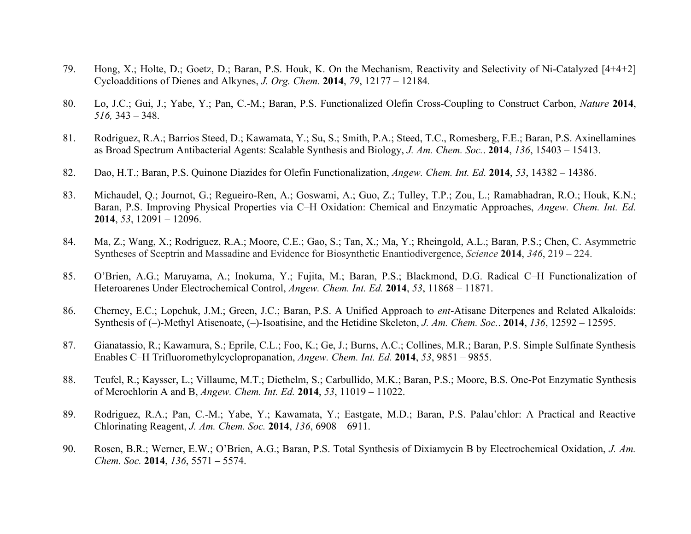- 79. Hong, X.; Holte, D.; Goetz, D.; Baran, P.S. Houk, K. On the Mechanism, Reactivity and Selectivity of Ni-Catalyzed [4+4+2] Cycloadditions of Dienes and Alkynes, *J. Org. Chem.* **2014**, *79*, 12177 – 12184*.*
- 80. Lo, J.C.; Gui, J.; Yabe, Y.; Pan, C.-M.; Baran, P.S. Functionalized Olefin Cross-Coupling to Construct Carbon, *Nature* **2014**, *516,* 343 – 348.
- 81. Rodriguez, R.A.; Barrios Steed, D.; Kawamata, Y.; Su, S.; Smith, P.A.; Steed, T.C., Romesberg, F.E.; Baran, P.S. Axinellamines as Broad Spectrum Antibacterial Agents: Scalable Synthesis and Biology, *J. Am. Chem. Soc.*. **2014**, *136*, 15403 – 15413.
- 82. Dao, H.T.; Baran, P.S. Quinone Diazides for Olefin Functionalization, *Angew. Chem. Int. Ed.* **2014**, *53*, 14382 14386.
- 83. Michaudel, Q.; Journot, G.; Regueiro-Ren, A.; Goswami, A.; Guo, Z.; Tulley, T.P.; Zou, L.; Ramabhadran, R.O.; Houk, K.N.; Baran, P.S. Improving Physical Properties via C–H Oxidation: Chemical and Enzymatic Approaches, *Angew. Chem. Int. Ed.* **2014**, *53*, 12091 – 12096.
- 84. Ma, Z.; Wang, X.; Rodriguez, R.A.; Moore, C.E.; Gao, S.; Tan, X.; Ma, Y.; Rheingold, A.L.; Baran, P.S.; Chen, C. Asymmetric Syntheses of Sceptrin and Massadine and Evidence for Biosynthetic Enantiodivergence, *Science* **2014**, *346*, 219 – 224.
- 85. O'Brien, A.G.; Maruyama, A.; Inokuma, Y.; Fujita, M.; Baran, P.S.; Blackmond, D.G. Radical C–H Functionalization of Heteroarenes Under Electrochemical Control, *Angew. Chem. Int. Ed.* **2014**, *53*, 11868 – 11871.
- 86. Cherney, E.C.; Lopchuk, J.M.; Green, J.C.; Baran, P.S. A Unified Approach to *ent*-Atisane Diterpenes and Related Alkaloids: Synthesis of (–)-Methyl Atisenoate, (–)-Isoatisine, and the Hetidine Skeleton, *J. Am. Chem. Soc.*. **2014**, *136*, 12592 – 12595.
- 87. Gianatassio, R.; Kawamura, S.; Eprile, C.L.; Foo, K.; Ge, J.; Burns, A.C.; Collines, M.R.; Baran, P.S. Simple Sulfinate Synthesis Enables C–H Trifluoromethylcyclopropanation, *Angew. Chem. Int. Ed.* **2014**, *53*, 9851 – 9855.
- 88. Teufel, R.; Kaysser, L.; Villaume, M.T.; Diethelm, S.; Carbullido, M.K.; Baran, P.S.; Moore, B.S. One-Pot Enzymatic Synthesis of Merochlorin A and B, *Angew. Chem. Int. Ed.* **2014**, *53*, 11019 – 11022.
- 89. Rodriguez, R.A.; Pan, C.-M.; Yabe, Y.; Kawamata, Y.; Eastgate, M.D.; Baran, P.S. Palau'chlor: A Practical and Reactive Chlorinating Reagent, *J. Am. Chem. Soc.* **2014**, *136*, 6908 – 6911.
- 90. Rosen, B.R.; Werner, E.W.; O'Brien, A.G.; Baran, P.S. Total Synthesis of Dixiamycin B by Electrochemical Oxidation, *J. Am. Chem. Soc.* **2014**, *136*, 5571 – 5574.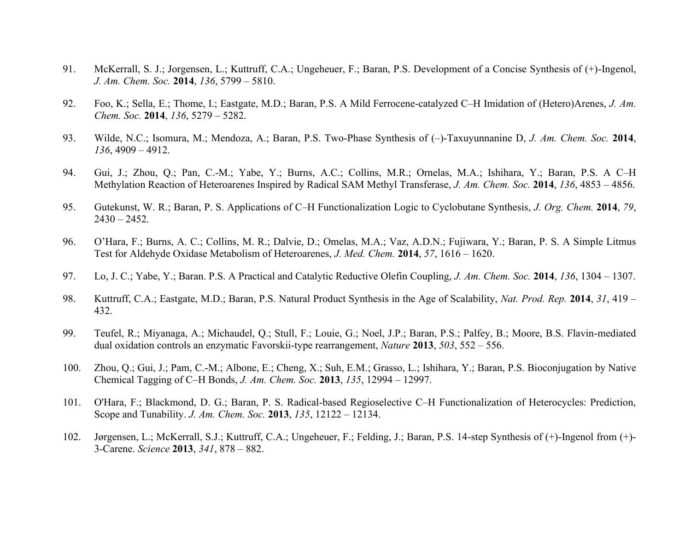- 91. McKerrall, S. J.; Jorgensen, L.; Kuttruff, C.A.; Ungeheuer, F.; Baran, P.S. Development of a Concise Synthesis of (+)-Ingenol, *J. Am. Chem. Soc.* **2014**, *136*, 5799 – 5810.
- 92. Foo, K.; Sella, E.; Thome, I.; Eastgate, M.D.; Baran, P.S. A Mild Ferrocene-catalyzed C–H Imidation of (Hetero)Arenes, *J. Am. Chem. Soc.* **2014**, *136*, 5279 – 5282.
- 93. Wilde, N.C.; Isomura, M.; Mendoza, A.; Baran, P.S. Two-Phase Synthesis of (–)-Taxuyunnanine D, *J. Am. Chem. Soc.* **2014**, *136*, 4909 – 4912.
- 94. Gui, J.; Zhou, Q.; Pan, C.-M.; Yabe, Y.; Burns, A.C.; Collins, M.R.; Ornelas, M.A.; Ishihara, Y.; Baran, P.S. A C–H Methylation Reaction of Heteroarenes Inspired by Radical SAM Methyl Transferase, *J. Am. Chem. Soc.* **2014**, *136*, 4853 – 4856.
- 95. Gutekunst, W. R.; Baran, P. S. Applications of C–H Functionalization Logic to Cyclobutane Synthesis, *J. Org. Chem.* **2014**, *79*,  $2430 - 2452$ .
- 96. O'Hara, F.; Burns, A. C.; Collins, M. R.; Dalvie, D.; Omelas, M.A.; Vaz, A.D.N.; Fujiwara, Y.; Baran, P. S. A Simple Litmus Test for Aldehyde Oxidase Metabolism of Heteroarenes, *J. Med. Chem.* **2014**, *57*, 1616 – 1620.
- 97. Lo, J. C.; Yabe, Y.; Baran. P.S. A Practical and Catalytic Reductive Olefin Coupling, *J. Am. Chem. Soc.* **2014**, *136*, 1304 1307.
- 98. Kuttruff, C.A.; Eastgate, M.D.; Baran, P.S. Natural Product Synthesis in the Age of Scalability, *Nat. Prod. Rep.* **2014**, *31*, 419 432.
- 99. Teufel, R.; Miyanaga, A.; Michaudel, Q.; Stull, F.; Louie, G.; Noel, J.P.; Baran, P.S.; Palfey, B.; Moore, B.S. Flavin-mediated dual oxidation controls an enzymatic Favorskii-type rearrangement, *Nature* **2013**, *503*, 552 – 556.
- 100. Zhou, Q.; Gui, J.; Pam, C.-M.; Albone, E.; Cheng, X.; Suh, E.M.; Grasso, L.; Ishihara, Y.; Baran, P.S. Bioconjugation by Native Chemical Tagging of C–H Bonds, *J. Am. Chem. Soc.* **2013**, *135*, 12994 – 12997.
- 101. O'Hara, F.; Blackmond, D. G.; Baran, P. S. Radical-based Regioselective C–H Functionalization of Heterocycles: Prediction, Scope and Tunability. *J. Am. Chem. Soc.* **2013**, *135*, 12122 – 12134.
- 102. Jørgensen, L.; McKerrall, S.J.; Kuttruff, C.A.; Ungeheuer, F.; Felding, J.; Baran, P.S. 14-step Synthesis of (+)-Ingenol from (+)- 3-Carene. *Science* **2013**, *341*, 878 – 882.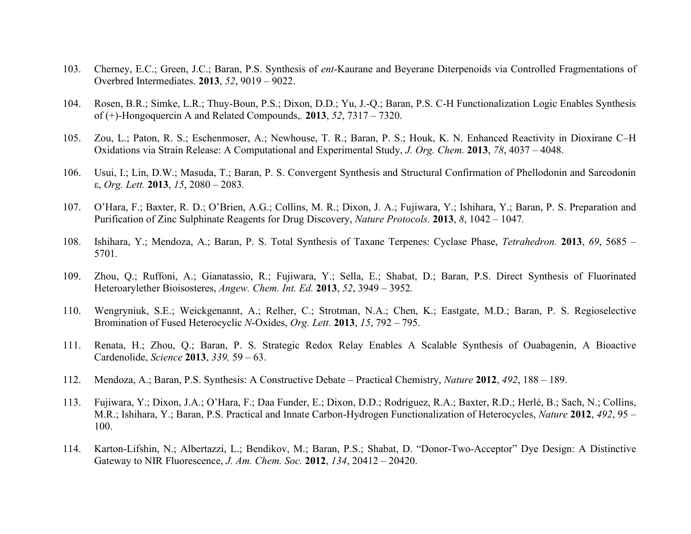- 103. Cherney, E.C.; Green, J.C.; Baran, P.S. Synthesis of *ent*-Kaurane and Beyerane Diterpenoids via Controlled Fragmentations of Overbred Intermediates. **2013**, *52*, 9019 – 9022.
- 104. Rosen, B.R.; Simke, L.R.; Thuy-Boun, P.S.; Dixon, D.D.; Yu, J.-Q.; Baran, P.S. C-H Functionalization Logic Enables Synthesis of (+)-Hongoquercin A and Related Compounds,*.* **2013**, *52*, 7317 – 7320.
- 105. Zou, L.; Paton, R. S.; Eschenmoser, A.; Newhouse, T. R.; Baran, P. S.; Houk, K. N. Enhanced Reactivity in Dioxirane C–H Oxidations via Strain Release: A Computational and Experimental Study, *J. Org. Chem.* **2013**, *78*, 4037 – 4048.
- 106. Usui, I.; Lin, D.W.; Masuda, T.; Baran, P. S. Convergent Synthesis and Structural Confirmation of Phellodonin and Sarcodonin ε, *Org. Lett.* **2013**, *15*, 2080 – 2083*.*
- 107. O'Hara, F.; Baxter, R. D.; O'Brien, A.G.; Collins, M. R.; Dixon, J. A.; Fujiwara, Y.; Ishihara, Y.; Baran, P. S. Preparation and Purification of Zinc Sulphinate Reagents for Drug Discovery, *Nature Protocols.* **2013**, *8*, 1042 – 1047*.*
- 108. Ishihara, Y.; Mendoza, A.; Baran, P. S. Total Synthesis of Taxane Terpenes: Cyclase Phase, *Tetrahedron.* **2013**, *69*, 5685 5701*.*
- 109. Zhou, Q.; Ruffoni, A.; Gianatassio, R.; Fujiwara, Y.; Sella, E.; Shabat, D.; Baran, P.S. Direct Synthesis of Fluorinated Heteroarylether Bioisosteres, *Angew. Chem. Int. Ed.* **2013**, *52*, 3949 – 3952*.*
- 110. Wengryniuk, S.E.; Weickgenannt, A.; Relher, C.; Strotman, N.A.; Chen, K.; Eastgate, M.D.; Baran, P. S. Regioselective Bromination of Fused Heterocyclic *N*-Oxides, *Org. Lett.* **2013**, *15*, 792 – 795.
- 111. Renata, H.; Zhou, Q.; Baran, P. S. Strategic Redox Relay Enables A Scalable Synthesis of Ouabagenin, A Bioactive Cardenolide, *Science* **2013**, *339,* 59 – 63.
- 112. Mendoza, A.; Baran, P.S. Synthesis: A Constructive Debate Practical Chemistry, *Nature* **2012**, *492*, 188 189.
- 113. Fujiwara, Y.; Dixon, J.A.; O'Hara, F.; Daa Funder, E.; Dixon, D.D.; Rodriguez, R.A.; Baxter, R.D.; Herlé, B.; Sach, N.; Collins, M.R.; Ishihara, Y.; Baran, P.S. Practical and Innate Carbon-Hydrogen Functionalization of Heterocycles, *Nature* **2012**, *492*, 95 – 100.
- 114. Karton-Lifshin, N.; Albertazzi, L.; Bendikov, M.; Baran, P.S.; Shabat, D. "Donor-Two-Acceptor" Dye Design: A Distinctive Gateway to NIR Fluorescence, *J. Am. Chem. Soc.* **2012**, *134*, 20412 – 20420.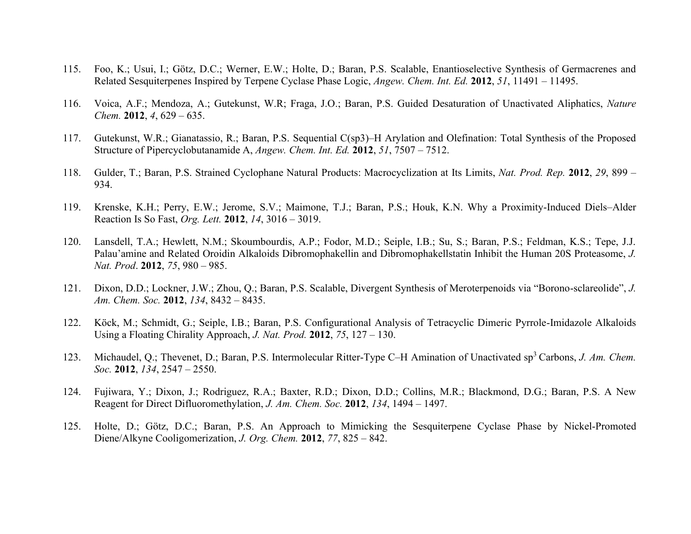- 115. Foo, K.; Usui, I.; Götz, D.C.; Werner, E.W.; Holte, D.; Baran, P.S. Scalable, Enantioselective Synthesis of Germacrenes and Related Sesquiterpenes Inspired by Terpene Cyclase Phase Logic, *Angew. Chem. Int. Ed.* **2012**, *51*, 11491 – 11495.
- 116. Voica, A.F.; Mendoza, A.; Gutekunst, W.R; Fraga, J.O.; Baran, P.S. Guided Desaturation of Unactivated Aliphatics, *Nature Chem.* **2012**, *4*, 629 – 635.
- 117. Gutekunst, W.R.; Gianatassio, R.; Baran, P.S. Sequential C(sp3)–H Arylation and Olefination: Total Synthesis of the Proposed Structure of Pipercyclobutanamide A, *Angew. Chem. Int. Ed.* **2012**, *51*, 7507 – 7512.
- 118. Gulder, T.; Baran, P.S. Strained Cyclophane Natural Products: Macrocyclization at Its Limits, *Nat. Prod. Rep.* **2012**, *29*, 899 934.
- 119. Krenske, K.H.; Perry, E.W.; Jerome, S.V.; Maimone, T.J.; Baran, P.S.; Houk, K.N. Why a Proximity-Induced Diels–Alder Reaction Is So Fast, *Org. Lett.* **2012**, *14*, 3016 – 3019.
- 120. Lansdell, T.A.; Hewlett, N.M.; Skoumbourdis, A.P.; Fodor, M.D.; Seiple, I.B.; Su, S.; Baran, P.S.; Feldman, K.S.; Tepe, J.J. Palau'amine and Related Oroidin Alkaloids Dibromophakellin and Dibromophakellstatin Inhibit the Human 20S Proteasome, *J. Nat. Prod*. **2012**, *75*, 980 – 985.
- 121. Dixon, D.D.; Lockner, J.W.; Zhou, Q.; Baran, P.S. Scalable, Divergent Synthesis of Meroterpenoids via "Borono-sclareolide", *J. Am. Chem. Soc.* **2012**, *134*, 8432 – 8435.
- 122. Köck, M.; Schmidt, G.; Seiple, I.B.; Baran, P.S. Configurational Analysis of Tetracyclic Dimeric Pyrrole-Imidazole Alkaloids Using a Floating Chirality Approach, *J. Nat. Prod.* **2012**, *75*, 127 – 130.
- 123. Michaudel, O.; Thevenet, D.; Baran, P.S. Intermolecular Ritter-Type C–H Amination of Unactivated sp<sup>3</sup> Carbons, *J. Am. Chem. Soc.* **2012**, *134*, 2547 – 2550.
- 124. Fujiwara, Y.; Dixon, J.; Rodriguez, R.A.; Baxter, R.D.; Dixon, D.D.; Collins, M.R.; Blackmond, D.G.; Baran, P.S. A New Reagent for Direct Difluoromethylation, *J. Am. Chem. Soc.* **2012**, *134*, 1494 – 1497.
- 125. Holte, D.; Götz, D.C.; Baran, P.S. An Approach to Mimicking the Sesquiterpene Cyclase Phase by Nickel-Promoted Diene/Alkyne Cooligomerization, *J. Org. Chem.* **2012**, *77*, 825 – 842.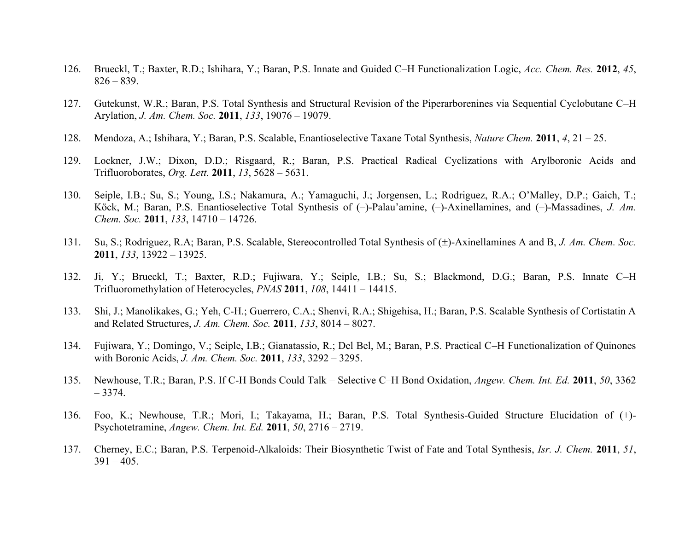- 126. Brueckl, T.; Baxter, R.D.; Ishihara, Y.; Baran, P.S. Innate and Guided C–H Functionalization Logic, *Acc. Chem. Res.* **2012**, *45*, 826 – 839.
- 127. Gutekunst, W.R.; Baran, P.S. Total Synthesis and Structural Revision of the Piperarborenines via Sequential Cyclobutane C–H Arylation, *J. Am. Chem. Soc.* **2011**, *133*, 19076 – 19079.
- 128. Mendoza, A.; Ishihara, Y.; Baran, P.S. Scalable, Enantioselective Taxane Total Synthesis, *Nature Chem.* **2011**, *4*, 21 25.
- 129. Lockner, J.W.; Dixon, D.D.; Risgaard, R.; Baran, P.S. Practical Radical Cyclizations with Arylboronic Acids and Trifluoroborates, *Org. Lett.* **2011**, *13*, 5628 – 5631.
- 130. Seiple, I.B.; Su, S.; Young, I.S.; Nakamura, A.; Yamaguchi, J.; Jorgensen, L.; Rodriguez, R.A.; O'Malley, D.P.; Gaich, T.; Köck, M.; Baran, P.S. Enantioselective Total Synthesis of (–)-Palau'amine, (–)-Axinellamines, and (–)-Massadines, *J. Am. Chem. Soc.* **2011**, *133*, 14710 – 14726.
- 131. Su, S.; Rodriguez, R.A; Baran, P.S. Scalable, Stereocontrolled Total Synthesis of ( $\pm$ )-Axinellamines A and B, *J. Am. Chem. Soc.* **2011**, *133*, 13922 – 13925.
- 132. Ji, Y.; Brueckl, T.; Baxter, R.D.; Fujiwara, Y.; Seiple, I.B.; Su, S.; Blackmond, D.G.; Baran, P.S. Innate C–H Trifluoromethylation of Heterocycles, *PNAS* **2011**, *108*, 14411 – 14415.
- 133. Shi, J.; Manolikakes, G.; Yeh, C-H.; Guerrero, C.A.; Shenvi, R.A.; Shigehisa, H.; Baran, P.S. Scalable Synthesis of Cortistatin A and Related Structures, *J. Am. Chem. Soc.* **2011**, *133*, 8014 – 8027.
- 134. Fujiwara, Y.; Domingo, V.; Seiple, I.B.; Gianatassio, R.; Del Bel, M.; Baran, P.S. Practical C–H Functionalization of Quinones with Boronic Acids, *J. Am. Chem. Soc.* **2011**, *133*, 3292 – 3295.
- 135. Newhouse, T.R.; Baran, P.S. If C-H Bonds Could Talk Selective C–H Bond Oxidation, *Angew. Chem. Int. Ed.* **2011**, *50*, 3362 – 3374.
- 136. Foo, K.; Newhouse, T.R.; Mori, I.; Takayama, H.; Baran, P.S. Total Synthesis-Guided Structure Elucidation of (+)- Psychotetramine, *Angew. Chem. Int. Ed.* **2011**, *50*, 2716 – 2719.
- 137. Cherney, E.C.; Baran, P.S. Terpenoid-Alkaloids: Their Biosynthetic Twist of Fate and Total Synthesis, *Isr. J. Chem.* **2011**, *51*,  $391 - 405$ .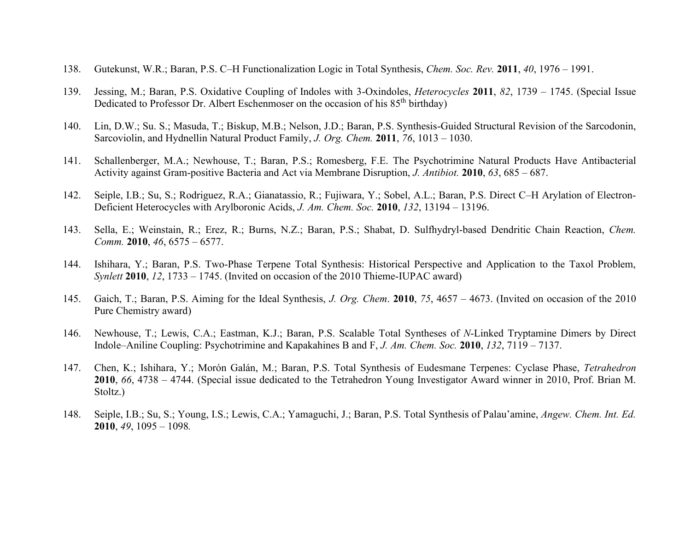- 138. Gutekunst, W.R.; Baran, P.S. C–H Functionalization Logic in Total Synthesis, *Chem. Soc. Rev.* **2011**, *40*, 1976 1991.
- 139. Jessing, M.; Baran, P.S. Oxidative Coupling of Indoles with 3-Oxindoles, *Heterocycles* **2011**, *82*, 1739 1745. (Special Issue Dedicated to Professor Dr. Albert Eschenmoser on the occasion of his 85<sup>th</sup> birthday)
- 140. Lin, D.W.; Su. S.; Masuda, T.; Biskup, M.B.; Nelson, J.D.; Baran, P.S. Synthesis-Guided Structural Revision of the Sarcodonin, Sarcoviolin, and Hydnellin Natural Product Family, *J. Org. Chem.* **2011**, *76*, 1013 – 1030.
- 141. Schallenberger, M.A.; Newhouse, T.; Baran, P.S.; Romesberg, F.E. The Psychotrimine Natural Products Have Antibacterial Activity against Gram-positive Bacteria and Act via Membrane Disruption, *J. Antibiot.* **2010**, *63*, 685 – 687.
- 142. Seiple, I.B.; Su, S.; Rodriguez, R.A.; Gianatassio, R.; Fujiwara, Y.; Sobel, A.L.; Baran, P.S. Direct C–H Arylation of Electron-Deficient Heterocycles with Arylboronic Acids, *J. Am. Chem. Soc.* **2010**, *132*, 13194 – 13196.
- 143. Sella, E.; Weinstain, R.; Erez, R.; Burns, N.Z.; Baran, P.S.; Shabat, D. Sulfhydryl-based Dendritic Chain Reaction, *Chem. Comm.* **2010**, *46*, 6575 – 6577.
- 144. Ishihara, Y.; Baran, P.S. Two-Phase Terpene Total Synthesis: Historical Perspective and Application to the Taxol Problem, *Synlett* **2010**, *12*, 1733 – 1745. (Invited on occasion of the 2010 Thieme-IUPAC award)
- 145. Gaich, T.; Baran, P.S. Aiming for the Ideal Synthesis, *J. Org. Chem*. **2010**, *75*, 4657 4673. (Invited on occasion of the 2010 Pure Chemistry award)
- 146. Newhouse, T.; Lewis, C.A.; Eastman, K.J.; Baran, P.S. Scalable Total Syntheses of *N*-Linked Tryptamine Dimers by Direct Indole–Aniline Coupling: Psychotrimine and Kapakahines B and F, *J. Am. Chem. Soc.* **2010**, *132*, 7119 – 7137.
- 147. Chen, K.; Ishihara, Y.; Morón Galán, M.; Baran, P.S. Total Synthesis of Eudesmane Terpenes: Cyclase Phase, *Tetrahedron*  **2010**, *66*, 4738 – 4744. (Special issue dedicated to the Tetrahedron Young Investigator Award winner in 2010, Prof. Brian M. Stoltz.)
- 148. Seiple, I.B.; Su, S.; Young, I.S.; Lewis, C.A.; Yamaguchi, J.; Baran, P.S. Total Synthesis of Palau'amine, *Angew. Chem. Int. Ed.* **2010**, *49*, 1095 – 1098*.*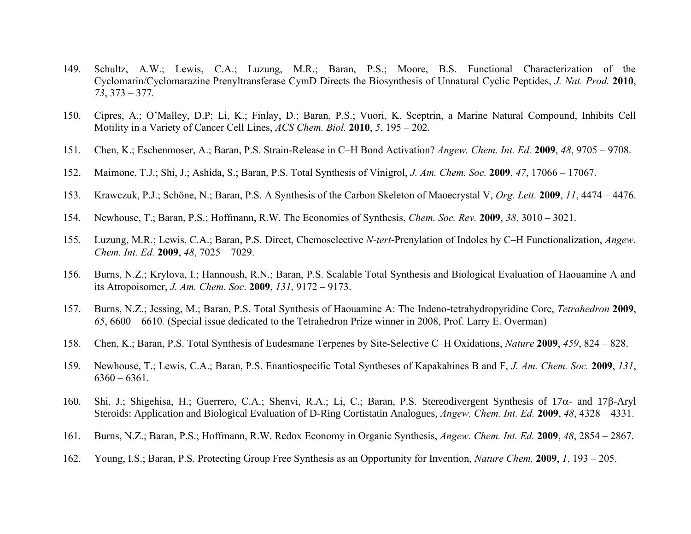- 149. Schultz, A.W.; Lewis, C.A.; Luzung, M.R.; Baran, P.S.; Moore, B.S. Functional Characterization of the Cyclomarin/Cyclomarazine Prenyltransferase CymD Directs the Biosynthesis of Unnatural Cyclic Peptides, *J. Nat. Prod.* **2010**, *73*, 373 – 377*.*
- 150. Cipres, A.; O'Malley, D.P; Li, K.; Finlay, D.; Baran, P.S.; Vuori, K. Sceptrin, a Marine Natural Compound, Inhibits Cell Motility in a Variety of Cancer Cell Lines, *ACS Chem. Biol.* **2010**, *5*, 195 – 202.
- 151. Chen, K.; Eschenmoser, A.; Baran, P.S. Strain-Release in C–H Bond Activation? *Angew. Chem. Int. Ed.* **2009**, *48*, 9705 9708.
- 152. Maimone, T.J.; Shi, J.; Ashida, S.; Baran, P.S. Total Synthesis of Vinigrol, *J. Am. Chem. Soc.* **2009**, *47*, 17066 17067.
- 153. Krawczuk, P.J.; Schöne, N.; Baran, P.S. A Synthesis of the Carbon Skeleton of Maoecrystal V, *Org. Lett.* **2009**, *11*, 4474 4476.
- 154. Newhouse, T.; Baran, P.S.; Hoffmann, R.W. The Economies of Synthesis, *Chem. Soc. Rev.* **2009**, *38*, 3010 3021.
- 155. Luzung, M.R.; Lewis, C.A.; Baran, P.S. Direct, Chemoselective *N-tert*-Prenylation of Indoles by C–H Functionalization, *Angew. Chem. Int. Ed.* **2009**, *48*, 7025 – 7029.
- 156. Burns, N.Z.; Krylova, I.; Hannoush, R.N.; Baran, P.S. Scalable Total Synthesis and Biological Evaluation of Haouamine A and its Atropoisomer, *J. Am. Chem. Soc*. **2009**, *131*, 9172 – 9173.
- 157. Burns, N.Z.; Jessing, M.; Baran, P.S. Total Synthesis of Haouamine A: The Indeno-tetrahydropyridine Core, *Tetrahedron* **2009**, *65*, 6600 – 6610*.* (Special issue dedicated to the Tetrahedron Prize winner in 2008, Prof. Larry E. Overman)
- 158. Chen, K.; Baran, P.S. Total Synthesis of Eudesmane Terpenes by Site-Selective C–H Oxidations, *Nature* **2009**, *459*, 824 828.
- 159. Newhouse, T.; Lewis, C.A.; Baran, P.S. Enantiospecific Total Syntheses of Kapakahines B and F, *J. Am. Chem. Soc.* **2009**, *131*, 6360 – 6361*.*
- 160. Shi, J.; Shigehisa, H.; Guerrero, C.A.; Shenvi, R.A.; Li, C.; Baran, P.S. Stereodivergent Synthesis of  $17\alpha$  and  $17\beta$ -Aryl Steroids: Application and Biological Evaluation of D-Ring Cortistatin Analogues, *Angew. Chem. Int. Ed.* **2009**, *48*, 4328 – 4331.
- 161. Burns, N.Z.; Baran, P.S.; Hoffmann, R.W. Redox Economy in Organic Synthesis, *Angew. Chem. Int. Ed.* **2009**, *48*, 2854 2867.
- 162. Young, I.S.; Baran, P.S. Protecting Group Free Synthesis as an Opportunity for Invention, *Nature Chem.* **2009**, *1*, 193 205.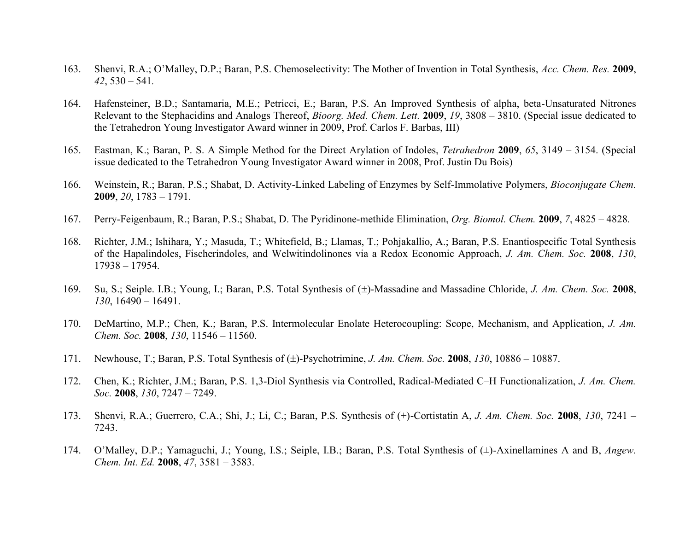- 163. Shenvi, R.A.; O'Malley, D.P.; Baran, P.S. Chemoselectivity: The Mother of Invention in Total Synthesis, *Acc. Chem. Res.* **2009**, *42*, 530 – 541*.*
- 164. Hafensteiner, B.D.; Santamaria, M.E.; Petricci, E.; Baran, P.S. An Improved Synthesis of alpha, beta-Unsaturated Nitrones Relevant to the Stephacidins and Analogs Thereof, *Bioorg. Med. Chem. Lett.* **2009**, *19*, 3808 – 3810. (Special issue dedicated to the Tetrahedron Young Investigator Award winner in 2009, Prof. Carlos F. Barbas, III)
- 165. Eastman, K.; Baran, P. S. A Simple Method for the Direct Arylation of Indoles, *Tetrahedron* **2009**, *65*, 3149 3154. (Special issue dedicated to the Tetrahedron Young Investigator Award winner in 2008, Prof. Justin Du Bois)
- 166. Weinstein, R.; Baran, P.S.; Shabat, D. Activity-Linked Labeling of Enzymes by Self-Immolative Polymers, *Bioconjugate Chem.* **2009**, *20*, 1783 – 1791.
- 167. Perry-Feigenbaum, R.; Baran, P.S.; Shabat, D. The Pyridinone-methide Elimination, *Org. Biomol. Chem.* **2009**, *7*, 4825 4828.
- 168. Richter, J.M.; Ishihara, Y.; Masuda, T.; Whitefield, B.; Llamas, T.; Pohjakallio, A.; Baran, P.S. Enantiospecific Total Synthesis of the Hapalindoles, Fischerindoles, and Welwitindolinones via a Redox Economic Approach, *J. Am. Chem. Soc.* **2008**, *130*, 17938 – 17954.
- 169. Su, S.; Seiple. I.B.; Young, I.; Baran, P.S. Total Synthesis of  $(\pm)$ -Massadine and Massadine Chloride, *J. Am. Chem. Soc.* 2008, *130*, 16490 – 16491.
- 170. DeMartino, M.P.; Chen, K.; Baran, P.S. Intermolecular Enolate Heterocoupling: Scope, Mechanism, and Application, *J. Am. Chem. Soc.* **2008**, *130*, 11546 – 11560.
- 171. Newhouse, T.; Baran, P.S. Total Synthesis of ( $\pm$ )-Psychotrimine, *J. Am. Chem. Soc.* **2008**, *130*, 10886 10887.
- 172. Chen, K.; Richter, J.M.; Baran, P.S. 1,3-Diol Synthesis via Controlled, Radical-Mediated C–H Functionalization, *J. Am. Chem. Soc.* **2008**, *130*, 7247 – 7249.
- 173. Shenvi, R.A.; Guerrero, C.A.; Shi, J.; Li, C.; Baran, P.S. Synthesis of (+)-Cortistatin A, *J. Am. Chem. Soc.* **2008**, *130*, 7241 7243.
- 174. O'Malley, D.P.; Yamaguchi, J.; Young, I.S.; Seiple, I.B.; Baran, P.S. Total Synthesis of (±)-Axinellamines A and B, *Angew. Chem. Int. Ed.* **2008**, *47*, 3581 – 3583.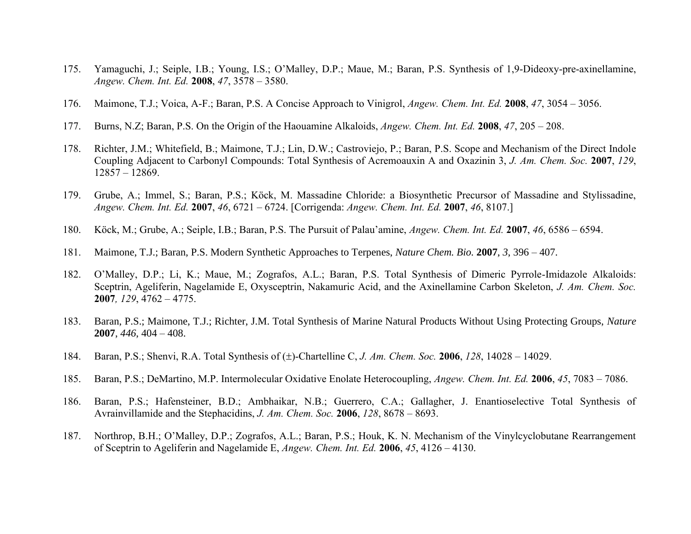- 175. Yamaguchi, J.; Seiple, I.B.; Young, I.S.; O'Malley, D.P.; Maue, M.; Baran, P.S. Synthesis of 1,9-Dideoxy-pre-axinellamine, *Angew. Chem. Int. Ed.* **2008**, *47*, 3578 – 3580.
- 176. Maimone, T.J.; Voica, A-F.; Baran, P.S. A Concise Approach to Vinigrol, *Angew. Chem. Int. Ed.* **2008**, *47*, 3054 3056.
- 177. Burns, N.Z; Baran, P.S. On the Origin of the Haouamine Alkaloids, *Angew. Chem. Int. Ed.* **2008**, *47*, 205 208.
- 178. Richter, J.M.; Whitefield, B.; Maimone, T.J.; Lin, D.W.; Castroviejo, P.; Baran, P.S. Scope and Mechanism of the Direct Indole Coupling Adjacent to Carbonyl Compounds: Total Synthesis of Acremoauxin A and Oxazinin 3, *J. Am. Chem. Soc.* **2007**, *129*, 12857 – 12869.
- 179. Grube, A.; Immel, S.; Baran, P.S.; Köck, M. Massadine Chloride: a Biosynthetic Precursor of Massadine and Stylissadine, *Angew. Chem. Int. Ed.* **2007**, *46*, 6721 – 6724. [Corrigenda: *Angew. Chem. Int. Ed.* **2007**, *46*, 8107.]
- 180. Köck, M.; Grube, A.; Seiple, I.B.; Baran, P.S. The Pursuit of Palau'amine, *Angew. Chem. Int. Ed.* **2007**, *46*, 6586 6594.
- 181. Maimone, T.J.; Baran, P.S. Modern Synthetic Approaches to Terpenes, *Nature Chem. Bio.* **2007**, *3*, 396 407.
- 182. O'Malley, D.P.; Li, K.; Maue, M.; Zografos, A.L.; Baran, P.S. Total Synthesis of Dimeric Pyrrole-Imidazole Alkaloids: Sceptrin, Ageliferin, Nagelamide E, Oxysceptrin, Nakamuric Acid, and the Axinellamine Carbon Skeleton, *J. Am. Chem. Soc.* **2007***, 129*, 4762 – 4775.
- 183. Baran, P.S.; Maimone, T.J.; Richter, J.M. Total Synthesis of Marine Natural Products Without Using Protecting Groups, *Nature*  **2007**, *446*, 404 – 408.
- 184. Baran, P.S.; Shenvi, R.A. Total Synthesis of ( $\pm$ )-Chartelline C, *J. Am. Chem. Soc.* **2006**, *128*, 14028 14029.
- 185. Baran, P.S.; DeMartino, M.P. Intermolecular Oxidative Enolate Heterocoupling, *Angew. Chem. Int. Ed.* **2006**, *45*, 7083 7086.
- 186. Baran, P.S.; Hafensteiner, B.D.; Ambhaikar, N.B.; Guerrero, C.A.; Gallagher, J. Enantioselective Total Synthesis of Avrainvillamide and the Stephacidins, *J. Am. Chem. Soc.* **2006**, *128*, 8678 – 8693.
- 187. Northrop, B.H.; O'Malley, D.P.; Zografos, A.L.; Baran, P.S.; Houk, K. N. Mechanism of the Vinylcyclobutane Rearrangement of Sceptrin to Ageliferin and Nagelamide E, *Angew. Chem. Int. Ed.* **2006**, *45*, 4126 – 4130.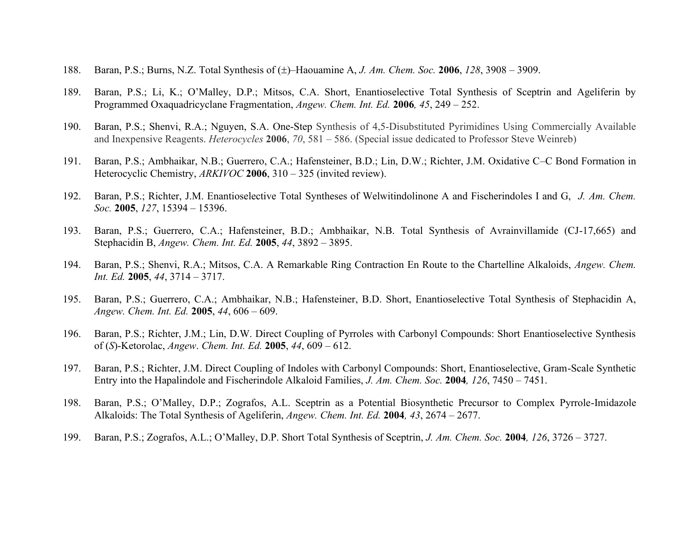- 188. Baran, P.S.; Burns, N.Z. Total Synthesis of ( $\pm$ )–Haouamine A, *J. Am. Chem. Soc.* **2006**, *128*, 3908 3909.
- 189. Baran, P.S.; Li, K.; O'Malley, D.P.; Mitsos, C.A. Short, Enantioselective Total Synthesis of Sceptrin and Ageliferin by Programmed Oxaquadricyclane Fragmentation, *Angew. Chem. Int. Ed.* **2006***, 45*, 249 – 252.
- 190. Baran, P.S.; Shenvi, R.A.; Nguyen, S.A. One-Step Synthesis of 4,5-Disubstituted Pyrimidines Using Commercially Available and Inexpensive Reagents. *Heterocycles* **2006**, *70*, 581 – 586. (Special issue dedicated to Professor Steve Weinreb)
- 191. Baran, P.S.; Ambhaikar, N.B.; Guerrero, C.A.; Hafensteiner, B.D.; Lin, D.W.; Richter, J.M. Oxidative C–C Bond Formation in Heterocyclic Chemistry, *ARKIVOC* **2006**, 310 – 325 (invited review).
- 192. Baran, P.S.; Richter, J.M. Enantioselective Total Syntheses of Welwitindolinone A and Fischerindoles I and G, *J. Am. Chem. Soc.* **2005**, *127*, 15394 – 15396.
- 193. Baran, P.S.; Guerrero, C.A.; Hafensteiner, B.D.; Ambhaikar, N.B. Total Synthesis of Avrainvillamide (CJ-17,665) and Stephacidin B, *Angew. Chem. Int. Ed.* **2005**, *44*, 3892 – 3895.
- 194. Baran, P.S.; Shenvi, R.A.; Mitsos, C.A. A Remarkable Ring Contraction En Route to the Chartelline Alkaloids, *Angew. Chem. Int. Ed.* **2005**, *44*, 3714 – 3717.
- 195. Baran, P.S.; Guerrero, C.A.; Ambhaikar, N.B.; Hafensteiner, B.D. Short, Enantioselective Total Synthesis of Stephacidin A, *Angew. Chem. Int. Ed.* **2005**, *44*, 606 – 609.
- 196. Baran, P.S.; Richter, J.M.; Lin, D.W. Direct Coupling of Pyrroles with Carbonyl Compounds: Short Enantioselective Synthesis of (*S*)-Ketorolac, *Angew*. *Chem. Int. Ed.* **2005**, *44*, 609 – 612.
- 197. Baran, P.S.; Richter, J.M. Direct Coupling of Indoles with Carbonyl Compounds: Short, Enantioselective, Gram-Scale Synthetic Entry into the Hapalindole and Fischerindole Alkaloid Families, *J. Am. Chem. Soc.* **2004***, 126*, 7450 – 7451.
- 198. Baran, P.S.; O'Malley, D.P.; Zografos, A.L. Sceptrin as a Potential Biosynthetic Precursor to Complex Pyrrole-Imidazole Alkaloids: The Total Synthesis of Ageliferin, *Angew. Chem. Int. Ed.* **2004***, 43*, 2674 – 2677.
- 199. Baran, P.S.; Zografos, A.L.; O'Malley, D.P. Short Total Synthesis of Sceptrin, *J. Am. Chem. Soc.* **2004***, 126*, 3726 3727.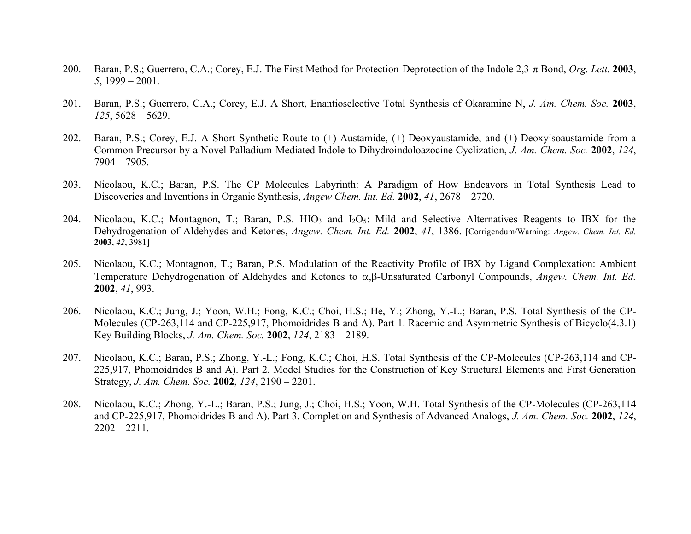- 200. Baran, P.S.; Guerrero, C.A.; Corey, E.J. The First Method for Protection-Deprotection of the Indole 2,3-π Bond, *Org. Lett.* **2003**, *5*, 1999 – 2001.
- 201. Baran, P.S.; Guerrero, C.A.; Corey, E.J. A Short, Enantioselective Total Synthesis of Okaramine N, *J. Am. Chem. Soc.* **2003**, *125*, 5628 – 5629.
- 202. Baran, P.S.; Corey, E.J. A Short Synthetic Route to (+)-Austamide, (+)-Deoxyaustamide, and (+)-Deoxyisoaustamide from a Common Precursor by a Novel Palladium-Mediated Indole to Dihydroindoloazocine Cyclization, *J. Am. Chem. Soc.* **2002**, *124*, 7904 – 7905.
- 203. Nicolaou, K.C.; Baran, P.S. The CP Molecules Labyrinth: A Paradigm of How Endeavors in Total Synthesis Lead to Discoveries and Inventions in Organic Synthesis, *Angew Chem. Int. Ed.* **2002**, *41*, 2678 – 2720.
- 204. Nicolaou, K.C.; Montagnon, T.; Baran, P.S. HIO<sub>3</sub> and I<sub>2</sub>O<sub>5</sub>: Mild and Selective Alternatives Reagents to IBX for the Dehydrogenation of Aldehydes and Ketones, *Angew. Chem. Int. Ed.* **2002**, *41*, 1386. [Corrigendum/Warning: *Angew. Chem. Int. Ed.*  **2003**, *42*, 3981]
- 205. Nicolaou, K.C.; Montagnon, T.; Baran, P.S. Modulation of the Reactivity Profile of IBX by Ligand Complexation: Ambient Temperature Dehydrogenation of Aldehydes and Ketones to  $\alpha$ ,  $\beta$ -Unsaturated Carbonyl Compounds, *Angew. Chem. Int. Ed.* **2002**, *41*, 993.
- 206. Nicolaou, K.C.; Jung, J.; Yoon, W.H.; Fong, K.C.; Choi, H.S.; He, Y.; Zhong, Y.-L.; Baran, P.S. Total Synthesis of the CP-Molecules (CP-263,114 and CP-225,917, Phomoidrides B and A). Part 1. Racemic and Asymmetric Synthesis of Bicyclo(4.3.1) Key Building Blocks, *J. Am. Chem. Soc.* **2002**, *124*, 2183 – 2189.
- 207. Nicolaou, K.C.; Baran, P.S.; Zhong, Y.-L.; Fong, K.C.; Choi, H.S. Total Synthesis of the CP-Molecules (CP-263,114 and CP-225,917, Phomoidrides B and A). Part 2. Model Studies for the Construction of Key Structural Elements and First Generation Strategy, *J. Am. Chem. Soc.* **2002**, *124*, 2190 – 2201.
- 208. Nicolaou, K.C.; Zhong, Y.-L.; Baran, P.S.; Jung, J.; Choi, H.S.; Yoon, W.H. Total Synthesis of the CP-Molecules (CP-263,114 and CP-225,917, Phomoidrides B and A). Part 3. Completion and Synthesis of Advanced Analogs, *J. Am. Chem. Soc.* **2002**, *124*,  $2202 - 2211$ .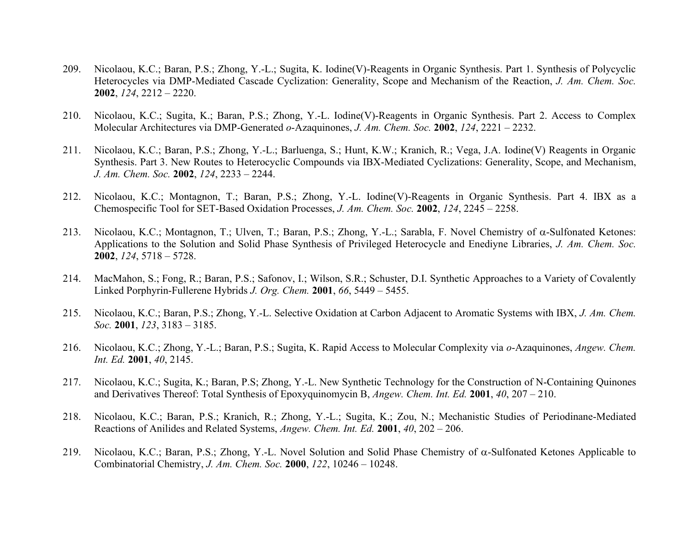- 209. Nicolaou, K.C.; Baran, P.S.; Zhong, Y.-L.; Sugita, K. Iodine(V)-Reagents in Organic Synthesis. Part 1. Synthesis of Polycyclic Heterocycles via DMP-Mediated Cascade Cyclization: Generality, Scope and Mechanism of the Reaction, *J. Am. Chem. Soc.*  **2002**, *124*, 2212 – 2220.
- 210. Nicolaou, K.C.; Sugita, K.; Baran, P.S.; Zhong, Y.-L. Iodine(V)-Reagents in Organic Synthesis. Part 2. Access to Complex Molecular Architectures via DMP-Generated *o*-Azaquinones, *J. Am. Chem. Soc.* **2002**, *124*, 2221 – 2232.
- 211. Nicolaou, K.C.; Baran, P.S.; Zhong, Y.-L.; Barluenga, S.; Hunt, K.W.; Kranich, R.; Vega, J.A. Iodine(V) Reagents in Organic Synthesis. Part 3. New Routes to Heterocyclic Compounds via IBX-Mediated Cyclizations: Generality, Scope, and Mechanism, *J. Am. Chem. Soc.* **2002**, *124*, 2233 – 2244.
- 212. Nicolaou, K.C.; Montagnon, T.; Baran, P.S.; Zhong, Y.-L. Iodine(V)-Reagents in Organic Synthesis. Part 4. IBX as a Chemospecific Tool for SET-Based Oxidation Processes, *J. Am. Chem. Soc.* **2002**, *124*, 2245 – 2258.
- 213. Nicolaou, K.C.; Montagnon, T.; Ulven, T.; Baran, P.S.; Zhong, Y.-L.; Sarabla, F. Novel Chemistry of  $\alpha$ -Sulfonated Ketones: Applications to the Solution and Solid Phase Synthesis of Privileged Heterocycle and Enediyne Libraries, *J. Am. Chem. Soc.*  **2002**, *124*, 5718 – 5728.
- 214. MacMahon, S.; Fong, R.; Baran, P.S.; Safonov, I.; Wilson, S.R.; Schuster, D.I. Synthetic Approaches to a Variety of Covalently Linked Porphyrin-Fullerene Hybrids *J. Org. Chem.* **2001**, *66*, 5449 – 5455.
- 215. Nicolaou, K.C.; Baran, P.S.; Zhong, Y.-L. Selective Oxidation at Carbon Adjacent to Aromatic Systems with IBX, *J. Am. Chem. Soc.* **2001**, *123*, 3183 – 3185.
- 216. Nicolaou, K.C.; Zhong, Y.-L.; Baran, P.S.; Sugita, K. Rapid Access to Molecular Complexity via *o*-Azaquinones, *Angew. Chem. Int. Ed.* **2001**, *40*, 2145.
- 217. Nicolaou, K.C.; Sugita, K.; Baran, P.S; Zhong, Y.-L. New Synthetic Technology for the Construction of N-Containing Quinones and Derivatives Thereof: Total Synthesis of Epoxyquinomycin B, *Angew. Chem. Int. Ed.* **2001**, *40*, 207 – 210.
- 218. Nicolaou, K.C.; Baran, P.S.; Kranich, R.; Zhong, Y.-L.; Sugita, K.; Zou, N.; Mechanistic Studies of Periodinane-Mediated Reactions of Anilides and Related Systems, *Angew. Chem. Int. Ed.* **2001**, *40*, 202 – 206.
- 219. Nicolaou, K.C.; Baran, P.S.; Zhong, Y.-L. Novel Solution and Solid Phase Chemistry of  $\alpha$ -Sulfonated Ketones Applicable to Combinatorial Chemistry, *J. Am. Chem. Soc.* **2000**, *122*, 10246 – 10248.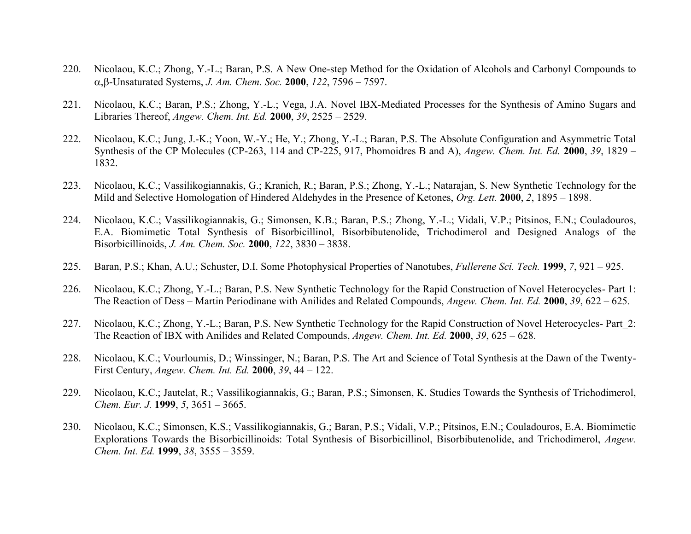- 220. Nicolaou, K.C.; Zhong, Y.-L.; Baran, P.S. A New One-step Method for the Oxidation of Alcohols and Carbonyl Compounds to ,-Unsaturated Systems, *J. Am. Chem. Soc.* **2000**, *122*, 7596 – 7597.
- 221. Nicolaou, K.C.; Baran, P.S.; Zhong, Y.-L.; Vega, J.A. Novel IBX-Mediated Processes for the Synthesis of Amino Sugars and Libraries Thereof, *Angew. Chem. Int. Ed.* **2000**, *39*, 2525 – 2529.
- 222. Nicolaou, K.C.; Jung, J.-K.; Yoon, W.-Y.; He, Y.; Zhong, Y.-L.; Baran, P.S. The Absolute Configuration and Asymmetric Total Synthesis of the CP Molecules (CP-263, 114 and CP-225, 917, Phomoidres B and A), *Angew. Chem. Int. Ed.* **2000**, *39*, 1829 – 1832.
- 223. Nicolaou, K.C.; Vassilikogiannakis, G.; Kranich, R.; Baran, P.S.; Zhong, Y.-L.; Natarajan, S. New Synthetic Technology for the Mild and Selective Homologation of Hindered Aldehydes in the Presence of Ketones, *Org. Lett.* **2000**, *2*, 1895 – 1898.
- 224. Nicolaou, K.C.; Vassilikogiannakis, G.; Simonsen, K.B.; Baran, P.S.; Zhong, Y.-L.; Vidali, V.P.; Pitsinos, E.N.; Couladouros, E.A. Biomimetic Total Synthesis of Bisorbicillinol, Bisorbibutenolide, Trichodimerol and Designed Analogs of the Bisorbicillinoids, *J. Am. Chem. Soc.* **2000**, *122*, 3830 – 3838.
- 225. Baran, P.S.; Khan, A.U.; Schuster, D.I. Some Photophysical Properties of Nanotubes, *Fullerene Sci. Tech.* **1999**, *7*, 921 925.
- 226. Nicolaou, K.C.; Zhong, Y.-L.; Baran, P.S. New Synthetic Technology for the Rapid Construction of Novel Heterocycles- Part 1: The Reaction of Dess – Martin Periodinane with Anilides and Related Compounds, *Angew. Chem. Int. Ed.* **2000**, *39*, 622 – 625.
- 227. Nicolaou, K.C.; Zhong, Y.-L.; Baran, P.S. New Synthetic Technology for the Rapid Construction of Novel Heterocycles- Part\_2: The Reaction of IBX with Anilides and Related Compounds, *Angew. Chem. Int. Ed.* **2000**, *39*, 625 – 628.
- 228. Nicolaou, K.C.; Vourloumis, D.; Winssinger, N.; Baran, P.S. The Art and Science of Total Synthesis at the Dawn of the Twenty-First Century, *Angew. Chem. Int. Ed.* **2000**, *39*, 44 – 122.
- 229. Nicolaou, K.C.; Jautelat, R.; Vassilikogiannakis, G.; Baran, P.S.; Simonsen, K. Studies Towards the Synthesis of Trichodimerol, *Chem. Eur. J.* **1999**, *5*, 3651 – 3665.
- 230. Nicolaou, K.C.; Simonsen, K.S.; Vassilikogiannakis, G.; Baran, P.S.; Vidali, V.P.; Pitsinos, E.N.; Couladouros, E.A. Biomimetic Explorations Towards the Bisorbicillinoids: Total Synthesis of Bisorbicillinol, Bisorbibutenolide, and Trichodimerol, *Angew. Chem. Int. Ed.* **1999**, *38*, 3555 – 3559.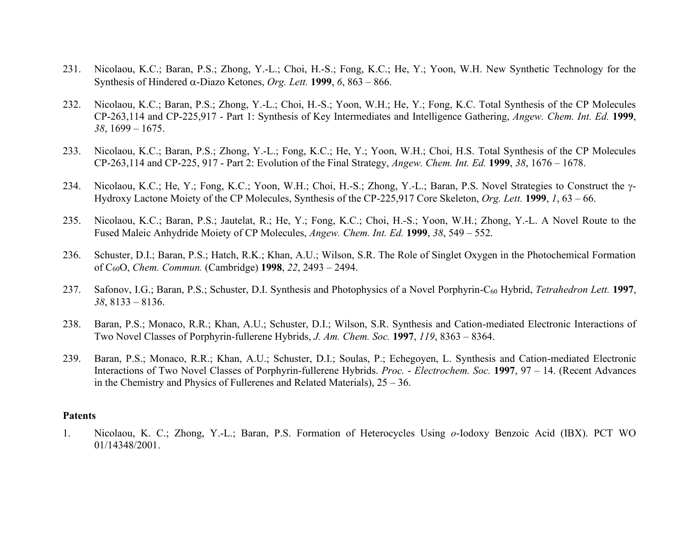- 231. Nicolaou, K.C.; Baran, P.S.; Zhong, Y.-L.; Choi, H.-S.; Fong, K.C.; He, Y.; Yoon, W.H. New Synthetic Technology for the Synthesis of Hindered  $\alpha$ -Diazo Ketones, *Org. Lett.* **1999**, *6*, 863 – 866.
- 232. Nicolaou, K.C.; Baran, P.S.; Zhong, Y.-L.; Choi, H.-S.; Yoon, W.H.; He, Y.; Fong, K.C. Total Synthesis of the CP Molecules CP-263,114 and CP-225,917 - Part 1: Synthesis of Key Intermediates and Intelligence Gathering, *Angew. Chem. Int. Ed.* **1999**, *38*, 1699 – 1675.
- 233. Nicolaou, K.C.; Baran, P.S.; Zhong, Y.-L.; Fong, K.C.; He, Y.; Yoon, W.H.; Choi, H.S. Total Synthesis of the CP Molecules CP-263,114 and CP-225, 917 - Part 2: Evolution of the Final Strategy, *Angew. Chem. Int. Ed.* **1999**, *38*, 1676 – 1678.
- 234. Nicolaou, K.C.; He, Y.; Fong, K.C.; Yoon, W.H.; Choi, H.-S.; Zhong, Y.-L.; Baran, P.S. Novel Strategies to Construct the  $\gamma$ -Hydroxy Lactone Moiety of the CP Molecules, Synthesis of the CP-225,917 Core Skeleton, *Org. Lett.* **1999**, *1*, 63 – 66.
- 235. Nicolaou, K.C.; Baran, P.S.; Jautelat, R.; He, Y.; Fong, K.C.; Choi, H.-S.; Yoon, W.H.; Zhong, Y.-L. A Novel Route to the Fused Maleic Anhydride Moiety of CP Molecules, *Angew. Chem. Int. Ed.* **1999**, *38*, 549 – 552.
- 236. Schuster, D.I.; Baran, P.S.; Hatch, R.K.; Khan, A.U.; Wilson, S.R. The Role of Singlet Oxygen in the Photochemical Formation of C60O, *Chem. Commun.* (Cambridge) **1998**, *22*, 2493 – 2494.
- 237. Safonov, I.G.; Baran, P.S.; Schuster, D.I. Synthesis and Photophysics of a Novel Porphyrin-C<sup>60</sup> Hybrid, *Tetrahedron Lett.* **1997**, *38*, 8133 – 8136.
- 238. Baran, P.S.; Monaco, R.R.; Khan, A.U.; Schuster, D.I.; Wilson, S.R. Synthesis and Cation-mediated Electronic Interactions of Two Novel Classes of Porphyrin-fullerene Hybrids, *J. Am. Chem. Soc.* **1997**, *119*, 8363 – 8364.
- 239. Baran, P.S.; Monaco, R.R.; Khan, A.U.; Schuster, D.I.; Soulas, P.; Echegoyen, L. Synthesis and Cation-mediated Electronic Interactions of Two Novel Classes of Porphyrin-fullerene Hybrids. *Proc.* - *Electrochem. Soc.* **1997**, 97 – 14. (Recent Advances in the Chemistry and Physics of Fullerenes and Related Materials), 25 – 36.

#### **Patents**

1. Nicolaou, K. C.; Zhong, Y.-L.; Baran, P.S. Formation of Heterocycles Using *o*-Iodoxy Benzoic Acid (IBX). PCT WO 01/14348/2001.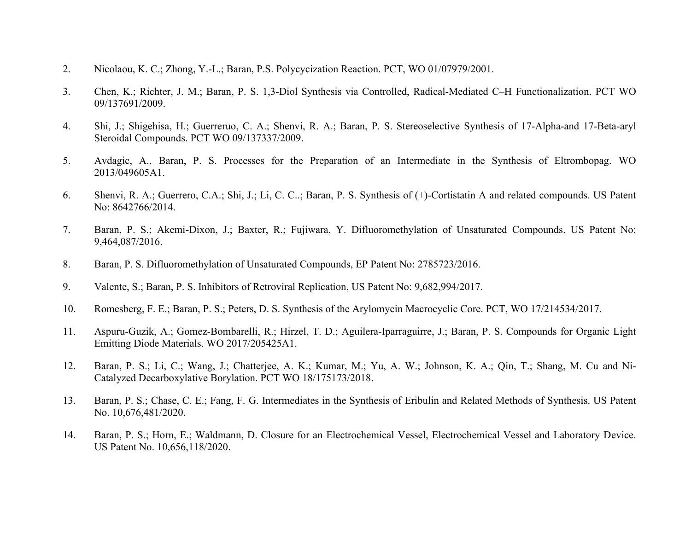- 2. Nicolaou, K. C.; Zhong, Y.-L.; Baran, P.S. Polycycization Reaction. PCT, WO 01/07979/2001.
- 3. Chen, K.; Richter, J. M.; Baran, P. S. 1,3-Diol Synthesis via Controlled, Radical-Mediated C–H Functionalization. PCT WO 09/137691/2009.
- 4. Shi, J.; Shigehisa, H.; Guerreruo, C. A.; Shenvi, R. A.; Baran, P. S. Stereoselective Synthesis of 17-Alpha-and 17-Beta-aryl Steroidal Compounds. PCT WO 09/137337/2009.
- 5. Avdagic, A., Baran, P. S. Processes for the Preparation of an Intermediate in the Synthesis of Eltrombopag. WO 2013/049605A1.
- 6. Shenvi, R. A.; Guerrero, C.A.; Shi, J.; Li, C. C..; Baran, P. S. Synthesis of (+)-Cortistatin A and related compounds. US Patent No: 8642766/2014.
- 7. Baran, P. S.; Akemi-Dixon, J.; Baxter, R.; Fujiwara, Y. Difluoromethylation of Unsaturated Compounds. US Patent No: 9,464,087/2016.
- 8. Baran, P. S. Difluoromethylation of Unsaturated Compounds, EP Patent No: 2785723/2016.
- 9. Valente, S.; Baran, P. S. Inhibitors of Retroviral Replication, US Patent No: 9,682,994/2017.
- 10. Romesberg, F. E.; Baran, P. S.; Peters, D. S. Synthesis of the Arylomycin Macrocyclic Core. PCT, WO 17/214534/2017.
- 11. Aspuru-Guzik, A.; Gomez-Bombarelli, R.; Hirzel, T. D.; Aguilera-Iparraguirre, J.; Baran, P. S. Compounds for Organic Light Emitting Diode Materials. WO 2017/205425A1.
- 12. Baran, P. S.; Li, C.; Wang, J.; Chatterjee, A. K.; Kumar, M.; Yu, A. W.; Johnson, K. A.; Qin, T.; Shang, M. Cu and Ni-Catalyzed Decarboxylative Borylation. PCT WO 18/175173/2018.
- 13. Baran, P. S.; Chase, C. E.; Fang, F. G. Intermediates in the Synthesis of Eribulin and Related Methods of Synthesis. US Patent No. 10,676,481/2020.
- 14. Baran, P. S.; Horn, E.; Waldmann, D. Closure for an Electrochemical Vessel, Electrochemical Vessel and Laboratory Device. US Patent No. 10,656,118/2020.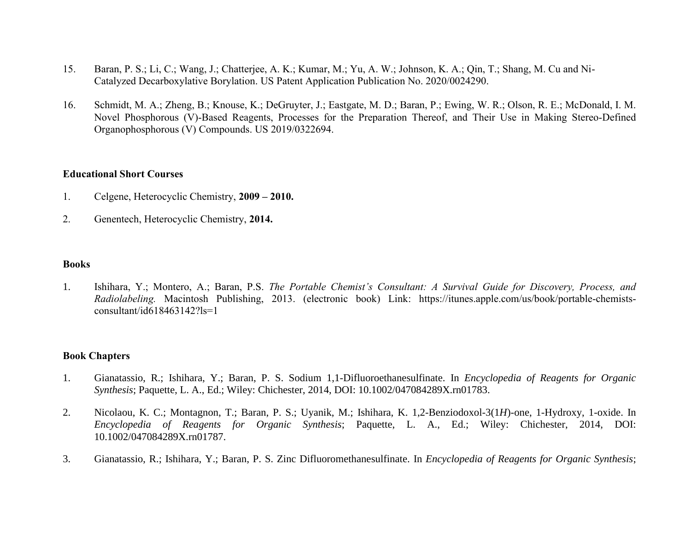- 15. Baran, P. S.; Li, C.; Wang, J.; Chatterjee, A. K.; Kumar, M.; Yu, A. W.; Johnson, K. A.; Qin, T.; Shang, M. Cu and Ni-Catalyzed Decarboxylative Borylation. US Patent Application Publication No. 2020/0024290.
- 16. Schmidt, M. A.; Zheng, B.; Knouse, K.; DeGruyter, J.; Eastgate, M. D.; Baran, P.; Ewing, W. R.; Olson, R. E.; McDonald, I. M. Novel Phosphorous (V)-Based Reagents, Processes for the Preparation Thereof, and Their Use in Making Stereo-Defined Organophosphorous (V) Compounds. US 2019/0322694.

#### **Educational Short Courses**

- 1. Celgene, Heterocyclic Chemistry, **2009 – 2010.**
- 2. Genentech, Heterocyclic Chemistry, **2014.**

### **Books**

1. Ishihara, Y.; Montero, A.; Baran, P.S. *The Portable Chemist's Consultant: A Survival Guide for Discovery, Process, and Radiolabeling.* Macintosh Publishing, 2013. (electronic book) Link: [https://itunes.apple.com/us/book/portable-chemists](https://itunes.apple.com/us/book/portable-chemists-consultant/id618463142?ls=1)[consultant/id618463142?ls=1](https://itunes.apple.com/us/book/portable-chemists-consultant/id618463142?ls=1)

#### **Book Chapters**

- 1. Gianatassio, R.; Ishihara, Y.; Baran, P. S. Sodium 1,1-Difluoroethanesulfinate. In *Encyclopedia of Reagents for Organic Synthesis*; Paquette, L. A., Ed.; Wiley: Chichester, 2014, DOI: 10.1002/047084289X.rn01783.
- 2. Nicolaou, K. C.; Montagnon, T.; Baran, P. S.; Uyanik, M.; Ishihara, K. 1,2-Benziodoxol-3(1*H*)-one, 1-Hydroxy, 1-oxide. In *Encyclopedia of Reagents for Organic Synthesis*; Paquette, L. A., Ed.; Wiley: Chichester, 2014, DOI: 10.1002/047084289X.rn01787.
- 3. Gianatassio, R.; Ishihara, Y.; Baran, P. S. Zinc Difluoromethanesulfinate. In *Encyclopedia of Reagents for Organic Synthesis*;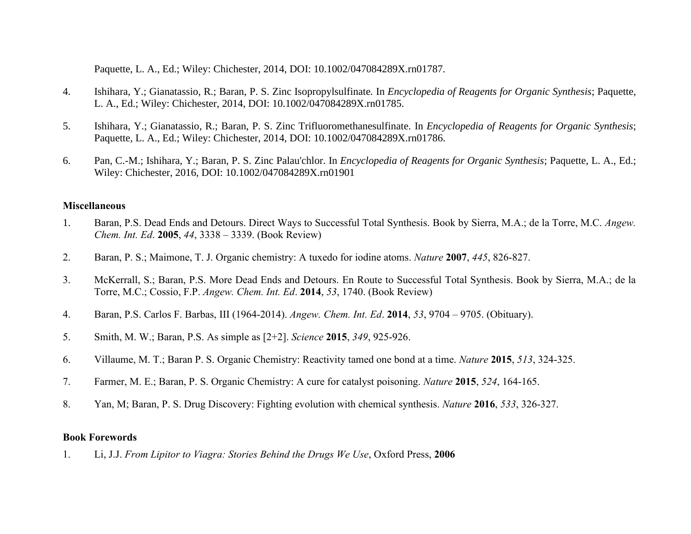Paquette, L. A., Ed.; Wiley: Chichester, 2014, DOI: 10.1002/047084289X.rn01787.

- 4. Ishihara, Y.; Gianatassio, R.; Baran, P. S. Zinc Isopropylsulfinate*.* In *Encyclopedia of Reagents for Organic Synthesis*; Paquette, L. A., Ed.; Wiley: Chichester, 2014, DOI: 10.1002/047084289X.rn01785.
- 5. Ishihara, Y.; Gianatassio, R.; Baran, P. S. Zinc Trifluoromethanesulfinate. In *Encyclopedia of Reagents for Organic Synthesis*; Paquette, L. A., Ed.; Wiley: Chichester, 2014, DOI: 10.1002/047084289X.rn01786.
- 6. Pan, C.-M.; Ishihara, Y.; Baran, P. S. Zinc Palau'chlor. In *Encyclopedia of Reagents for Organic Synthesis*; Paquette, L. A., Ed.; Wiley: Chichester, 2016, DOI: 10.1002/047084289X.rn01901

#### **Miscellaneous**

- 1. Baran, P.S. Dead Ends and Detours. Direct Ways to Successful Total Synthesis. Book by Sierra, M.A.; de la Torre, M.C. *Angew. Chem. Int. Ed*. **2005**, *44*, 3338 – 3339. (Book Review)
- 2. Baran, P. S.; Maimone, T. J. Organic chemistry: A tuxedo for iodine atoms. *Nature* **2007**, *445*, 826-827.
- 3. McKerrall, S.; Baran, P.S. More Dead Ends and Detours. En Route to Successful Total Synthesis. Book by Sierra, M.A.; de la Torre, M.C.; Cossio, F.P. *Angew. Chem. Int. Ed*. **2014**, *53*, 1740. (Book Review)
- 4. Baran, P.S. Carlos F. Barbas, III (1964-2014). *Angew. Chem. Int. Ed*. **2014**, *53*, 9704 9705. (Obituary).
- 5. Smith, M. W.; Baran, P.S. As simple as [2+2]. *Science* **2015**, *349*, 925-926.
- 6. Villaume, M. T.; Baran P. S. Organic Chemistry: Reactivity tamed one bond at a time. *Nature* **2015**, *513*, 324-325.
- 7. Farmer, M. E.; Baran, P. S. Organic Chemistry: A cure for catalyst poisoning. *Nature* **2015**, *524*, 164-165.
- 8. Yan, M; Baran, P. S. Drug Discovery: Fighting evolution with chemical synthesis. *Nature* **2016**, *533*, 326-327.

## **Book Forewords**

1. Li, J.J. *From Lipitor to Viagra: Stories Behind the Drugs We Use*, Oxford Press, **2006**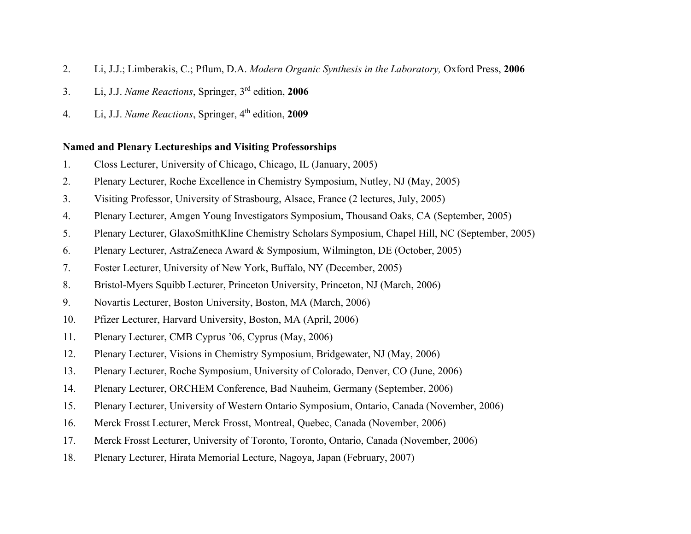- 2. Li, J.J.; Limberakis, C.; Pflum, D.A. *Modern Organic Synthesis in the Laboratory,* Oxford Press, **2006**
- 3. Li, J.J. *Name Reactions*, Springer, 3rd edition, **2006**
- 4. Li, J.J. *Name Reactions*, Springer, 4 th edition, **2009**

## **Named and Plenary Lectureships and Visiting Professorships**

- 1. Closs Lecturer, University of Chicago, Chicago, IL (January, 2005)
- 2. Plenary Lecturer, Roche Excellence in Chemistry Symposium, Nutley, NJ (May, 2005)
- 3. Visiting Professor, University of Strasbourg, Alsace, France (2 lectures, July, 2005)
- 4. Plenary Lecturer, Amgen Young Investigators Symposium, Thousand Oaks, CA (September, 2005)
- 5. Plenary Lecturer, GlaxoSmithKline Chemistry Scholars Symposium, Chapel Hill, NC (September, 2005)
- 6. Plenary Lecturer, AstraZeneca Award & Symposium, Wilmington, DE (October, 2005)
- 7. Foster Lecturer, University of New York, Buffalo, NY (December, 2005)
- 8. Bristol-Myers Squibb Lecturer, Princeton University, Princeton, NJ (March, 2006)
- 9. Novartis Lecturer, Boston University, Boston, MA (March, 2006)
- 10. Pfizer Lecturer, Harvard University, Boston, MA (April, 2006)
- 11. Plenary Lecturer, CMB Cyprus '06, Cyprus (May, 2006)
- 12. Plenary Lecturer, Visions in Chemistry Symposium, Bridgewater, NJ (May, 2006)
- 13. Plenary Lecturer, Roche Symposium, University of Colorado, Denver, CO (June, 2006)
- 14. Plenary Lecturer, ORCHEM Conference, Bad Nauheim, Germany (September, 2006)
- 15. Plenary Lecturer, University of Western Ontario Symposium, Ontario, Canada (November, 2006)
- 16. Merck Frosst Lecturer, Merck Frosst, Montreal, Quebec, Canada (November, 2006)
- 17. Merck Frosst Lecturer, University of Toronto, Toronto, Ontario, Canada (November, 2006)
- 18. Plenary Lecturer, Hirata Memorial Lecture, Nagoya, Japan (February, 2007)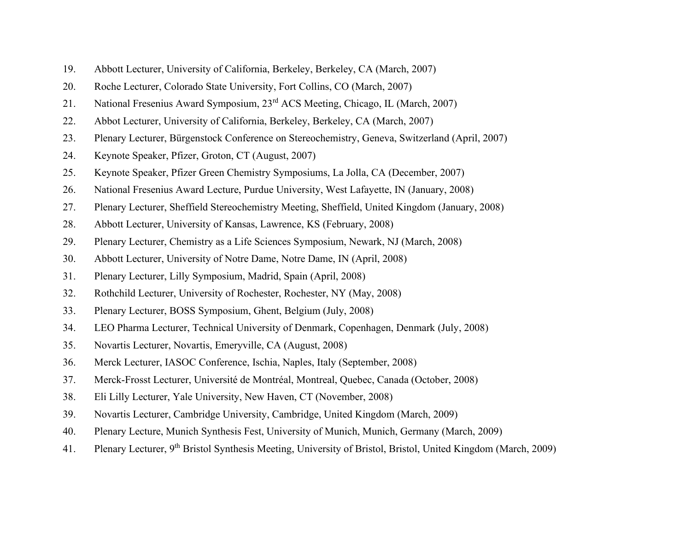- 19. Abbott Lecturer, University of California, Berkeley, Berkeley, CA (March, 2007)
- 20. Roche Lecturer, Colorado State University, Fort Collins, CO (March, 2007)
- 21. National Fresenius Award Symposium, 23rd ACS Meeting, Chicago, IL (March, 2007)
- 22. Abbot Lecturer, University of California, Berkeley, Berkeley, CA (March, 2007)
- 23. Plenary Lecturer, Bürgenstock Conference on Stereochemistry, Geneva, Switzerland (April, 2007)
- 24. Keynote Speaker, Pfizer, Groton, CT (August, 2007)
- 25. Keynote Speaker, Pfizer Green Chemistry Symposiums, La Jolla, CA (December, 2007)
- 26. National Fresenius Award Lecture, Purdue University, West Lafayette, IN (January, 2008)
- 27. Plenary Lecturer, Sheffield Stereochemistry Meeting, Sheffield, United Kingdom (January, 2008)
- 28. Abbott Lecturer, University of Kansas, Lawrence, KS (February, 2008)
- 29. Plenary Lecturer, Chemistry as a Life Sciences Symposium, Newark, NJ (March, 2008)
- 30. Abbott Lecturer, University of Notre Dame, Notre Dame, IN (April, 2008)
- 31. Plenary Lecturer, Lilly Symposium, Madrid, Spain (April, 2008)
- 32. Rothchild Lecturer, University of Rochester, Rochester, NY (May, 2008)
- 33. Plenary Lecturer, BOSS Symposium, Ghent, Belgium (July, 2008)
- 34. LEO Pharma Lecturer, Technical University of Denmark, Copenhagen, Denmark (July, 2008)
- 35. Novartis Lecturer, Novartis, Emeryville, CA (August, 2008)
- 36. Merck Lecturer, IASOC Conference, Ischia, Naples, Italy (September, 2008)
- 37. Merck-Frosst Lecturer, Université de Montréal, Montreal, Quebec, Canada (October, 2008)
- 38. Eli Lilly Lecturer, Yale University, New Haven, CT (November, 2008)
- 39. Novartis Lecturer, Cambridge University, Cambridge, United Kingdom (March, 2009)
- 40. Plenary Lecture, Munich Synthesis Fest, University of Munich, Munich, Germany (March, 2009)
- 41. Plenary Lecturer, 9<sup>th</sup> Bristol Synthesis Meeting, University of Bristol, Bristol, United Kingdom (March, 2009)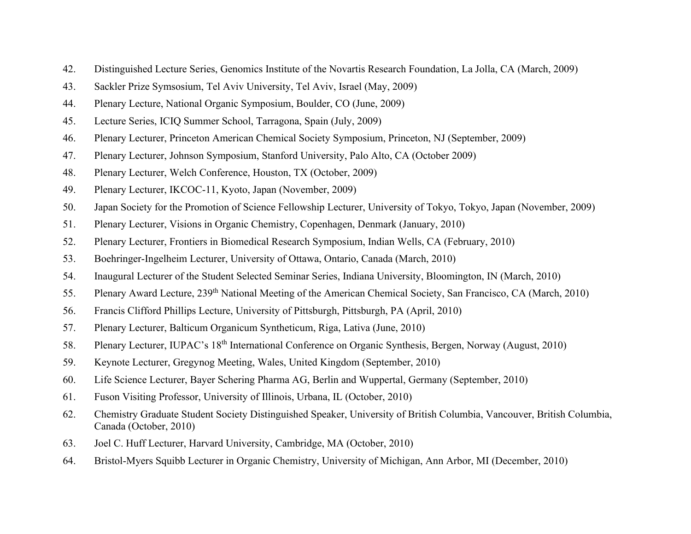- 42. Distinguished Lecture Series, Genomics Institute of the Novartis Research Foundation, La Jolla, CA (March, 2009)
- 43. Sackler Prize Symsosium, Tel Aviv University, Tel Aviv, Israel (May, 2009)
- 44. Plenary Lecture, National Organic Symposium, Boulder, CO (June, 2009)
- 45. Lecture Series, ICIQ Summer School, Tarragona, Spain (July, 2009)
- 46. Plenary Lecturer, Princeton American Chemical Society Symposium, Princeton, NJ (September, 2009)
- 47. Plenary Lecturer, Johnson Symposium, Stanford University, Palo Alto, CA (October 2009)
- 48. Plenary Lecturer, Welch Conference, Houston, TX (October, 2009)
- 49. Plenary Lecturer, IKCOC-11, Kyoto, Japan (November, 2009)
- 50. Japan Society for the Promotion of Science Fellowship Lecturer, University of Tokyo, Tokyo, Japan (November, 2009)
- 51. Plenary Lecturer, Visions in Organic Chemistry, Copenhagen, Denmark (January, 2010)
- 52. Plenary Lecturer, Frontiers in Biomedical Research Symposium, Indian Wells, CA (February, 2010)
- 53. Boehringer-Ingelheim Lecturer, University of Ottawa, Ontario, Canada (March, 2010)
- 54. Inaugural Lecturer of the Student Selected Seminar Series, Indiana University, Bloomington, IN (March, 2010)
- 55. Plenary Award Lecture, 239th National Meeting of the American Chemical Society, San Francisco, CA (March, 2010)
- 56. Francis Clifford Phillips Lecture, University of Pittsburgh, Pittsburgh, PA (April, 2010)
- 57. Plenary Lecturer, Balticum Organicum Syntheticum, Riga, Lativa (June, 2010)
- 58. Plenary Lecturer, IUPAC's 18th International Conference on Organic Synthesis, Bergen, Norway (August, 2010)
- 59. Keynote Lecturer, Gregynog Meeting, Wales, United Kingdom (September, 2010)
- 60. Life Science Lecturer, Bayer Schering Pharma AG, Berlin and Wuppertal, Germany (September, 2010)
- 61. Fuson Visiting Professor, University of Illinois, Urbana, IL (October, 2010)
- 62. Chemistry Graduate Student Society Distinguished Speaker, University of British Columbia, Vancouver, British Columbia, Canada (October, 2010)
- 63. Joel C. Huff Lecturer, Harvard University, Cambridge, MA (October, 2010)
- 64. Bristol-Myers Squibb Lecturer in Organic Chemistry, University of Michigan, Ann Arbor, MI (December, 2010)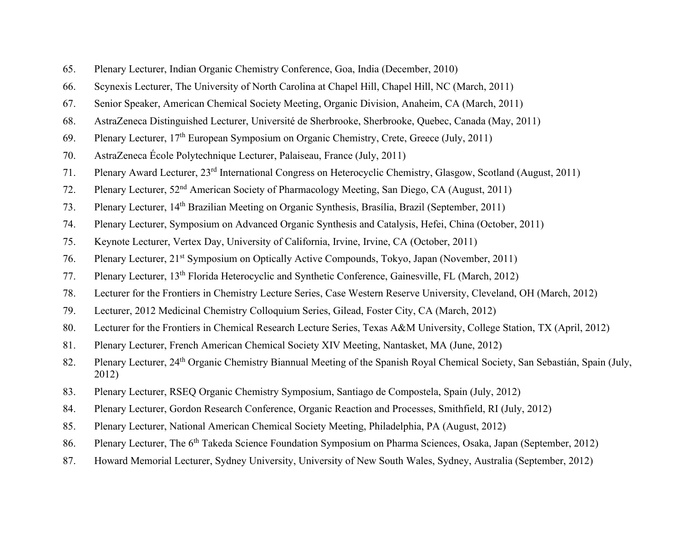- 65. Plenary Lecturer, Indian Organic Chemistry Conference, Goa, India (December, 2010)
- 66. Scynexis Lecturer, The University of North Carolina at Chapel Hill, Chapel Hill, NC (March, 2011)
- 67. Senior Speaker, American Chemical Society Meeting, Organic Division, Anaheim, CA (March, 2011)
- 68. AstraZeneca Distinguished Lecturer, Université de Sherbrooke, Sherbrooke, Quebec, Canada (May, 2011)
- 69. Plenary Lecturer, 17th European Symposium on Organic Chemistry, Crete, Greece (July, 2011)
- 70. AstraZeneca École Polytechnique Lecturer, Palaiseau, France (July, 2011)
- 71. Plenary Award Lecturer, 23rd International Congress on Heterocyclic Chemistry, Glasgow, Scotland (August, 2011)
- 72. Plenary Lecturer, 52<sup>nd</sup> American Society of Pharmacology Meeting, San Diego, CA (August, 2011)
- 73. Plenary Lecturer, 14th Brazilian Meeting on Organic Synthesis, Brasília, Brazil (September, 2011)
- 74. Plenary Lecturer, Symposium on Advanced Organic Synthesis and Catalysis, Hefei, China (October, 2011)
- 75. Keynote Lecturer, Vertex Day, University of California, Irvine, Irvine, CA (October, 2011)
- 76. Plenary Lecturer, 21<sup>st</sup> Symposium on Optically Active Compounds, Tokyo, Japan (November, 2011)
- 77. Plenary Lecturer, 13th Florida Heterocyclic and Synthetic Conference, Gainesville, FL (March, 2012)
- 78. Lecturer for the Frontiers in Chemistry Lecture Series, Case Western Reserve University, Cleveland, OH (March, 2012)
- 79. Lecturer, 2012 Medicinal Chemistry Colloquium Series, Gilead, Foster City, CA (March, 2012)
- 80. Lecturer for the Frontiers in Chemical Research Lecture Series, Texas A&M University, College Station, TX (April, 2012)
- 81. Plenary Lecturer, French American Chemical Society XIV Meeting, Nantasket, MA (June, 2012)
- 82. Plenary Lecturer, 24<sup>th</sup> Organic Chemistry Biannual Meeting of the Spanish Royal Chemical Society, San Sebastián, Spain (July, 2012)
- 83. Plenary Lecturer, RSEQ Organic Chemistry Symposium, Santiago de Compostela, Spain (July, 2012)
- 84. Plenary Lecturer, Gordon Research Conference, Organic Reaction and Processes, Smithfield, RI (July, 2012)
- 85. Plenary Lecturer, National American Chemical Society Meeting, Philadelphia, PA (August, 2012)
- 86. Plenary Lecturer, The 6<sup>th</sup> Takeda Science Foundation Symposium on Pharma Sciences, Osaka, Japan (September, 2012)
- 87. Howard Memorial Lecturer, Sydney University, University of New South Wales, Sydney, Australia (September, 2012)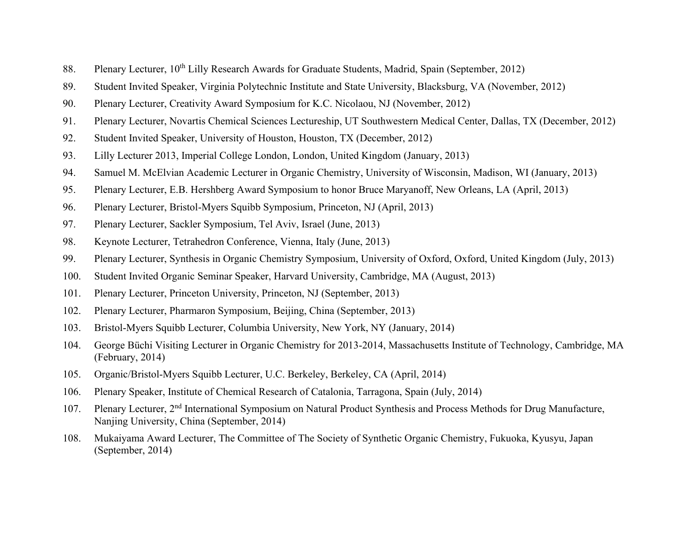- 88. Plenary Lecturer, 10<sup>th</sup> Lilly Research Awards for Graduate Students, Madrid, Spain (September, 2012)
- 89. Student Invited Speaker, Virginia Polytechnic Institute and State University, Blacksburg, VA (November, 2012)
- 90. Plenary Lecturer, Creativity Award Symposium for K.C. Nicolaou, NJ (November, 2012)
- 91. Plenary Lecturer, Novartis Chemical Sciences Lectureship, UT Southwestern Medical Center, Dallas, TX (December, 2012)
- 92. Student Invited Speaker, University of Houston, Houston, TX (December, 2012)
- 93. Lilly Lecturer 2013, Imperial College London, London, United Kingdom (January, 2013)
- 94. Samuel M. McElvian Academic Lecturer in Organic Chemistry, University of Wisconsin, Madison, WI (January, 2013)
- 95. Plenary Lecturer, E.B. Hershberg Award Symposium to honor Bruce Maryanoff, New Orleans, LA (April, 2013)
- 96. Plenary Lecturer, Bristol-Myers Squibb Symposium, Princeton, NJ (April, 2013)
- 97. Plenary Lecturer, Sackler Symposium, Tel Aviv, Israel (June, 2013)
- 98. Keynote Lecturer, Tetrahedron Conference, Vienna, Italy (June, 2013)
- 99. Plenary Lecturer, Synthesis in Organic Chemistry Symposium, University of Oxford, Oxford, United Kingdom (July, 2013)
- 100. Student Invited Organic Seminar Speaker, Harvard University, Cambridge, MA (August, 2013)
- 101. Plenary Lecturer, Princeton University, Princeton, NJ (September, 2013)
- 102. Plenary Lecturer, Pharmaron Symposium, Beijing, China (September, 2013)
- 103. Bristol-Myers Squibb Lecturer, Columbia University, New York, NY (January, 2014)
- 104. George Büchi Visiting Lecturer in Organic Chemistry for 2013-2014, Massachusetts Institute of Technology, Cambridge, MA (February, 2014)
- 105. Organic/Bristol-Myers Squibb Lecturer, U.C. Berkeley, Berkeley, CA (April, 2014)
- 106. Plenary Speaker, Institute of Chemical Research of Catalonia, Tarragona, Spain (July, 2014)
- 107. Plenary Lecturer, 2<sup>nd</sup> International Symposium on Natural Product Synthesis and Process Methods for Drug Manufacture, Nanjing University, China (September, 2014)
- 108. Mukaiyama Award Lecturer, The Committee of The Society of Synthetic Organic Chemistry, Fukuoka, Kyusyu, Japan (September, 2014)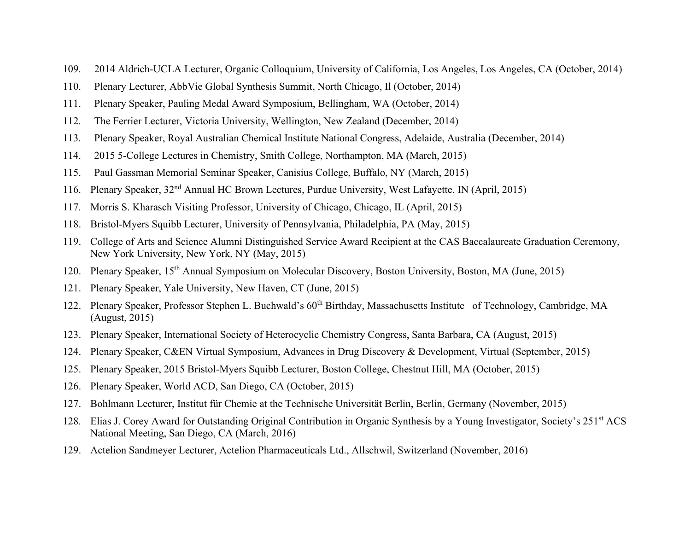- 109. 2014 Aldrich-UCLA Lecturer, Organic Colloquium, University of California, Los Angeles, Los Angeles, CA (October, 2014)
- 110. Plenary Lecturer, AbbVie Global Synthesis Summit, North Chicago, Il (October, 2014)
- 111. Plenary Speaker, Pauling Medal Award Symposium, Bellingham, WA (October, 2014)
- 112. The Ferrier Lecturer, Victoria University, Wellington, New Zealand (December, 2014)
- 113. Plenary Speaker, Royal Australian Chemical Institute National Congress, Adelaide, Australia (December, 2014)
- 114. 2015 5-College Lectures in Chemistry, Smith College, Northampton, MA (March, 2015)
- 115. Paul Gassman Memorial Seminar Speaker, Canisius College, Buffalo, NY (March, 2015)
- 116. Plenary Speaker, 32nd Annual HC Brown Lectures, Purdue University, West Lafayette, IN (April, 2015)
- 117. Morris S. Kharasch Visiting Professor, University of Chicago, Chicago, IL (April, 2015)
- 118. Bristol-Myers Squibb Lecturer, University of Pennsylvania, Philadelphia, PA (May, 2015)
- 119. College of Arts and Science Alumni Distinguished Service Award Recipient at the CAS Baccalaureate Graduation Ceremony, New York University, New York, NY (May, 2015)
- 120. Plenary Speaker, 15<sup>th</sup> Annual Symposium on Molecular Discovery, Boston University, Boston, MA (June, 2015)
- 121. Plenary Speaker, Yale University, New Haven, CT (June, 2015)
- 122. Plenary Speaker, Professor Stephen L. Buchwald's 60<sup>th</sup> Birthday, Massachusetts Institute of Technology, Cambridge, MA (August, 2015)
- 123. Plenary Speaker, International Society of Heterocyclic Chemistry Congress, Santa Barbara, CA (August, 2015)
- 124. Plenary Speaker, C&EN Virtual Symposium, Advances in Drug Discovery & Development, Virtual (September, 2015)
- 125. Plenary Speaker, 2015 Bristol-Myers Squibb Lecturer, Boston College, Chestnut Hill, MA (October, 2015)
- 126. Plenary Speaker, World ACD, San Diego, CA (October, 2015)
- 127. Bohlmann Lecturer, Institut für Chemie at the Technische Universität Berlin, Berlin, Germany (November, 2015)
- 128. Elias J. Corey Award for Outstanding Original Contribution in Organic Synthesis by a Young Investigator, Society's 251st ACS National Meeting, San Diego, CA (March, 2016)
- 129. Actelion Sandmeyer Lecturer, Actelion Pharmaceuticals Ltd., Allschwil, Switzerland (November, 2016)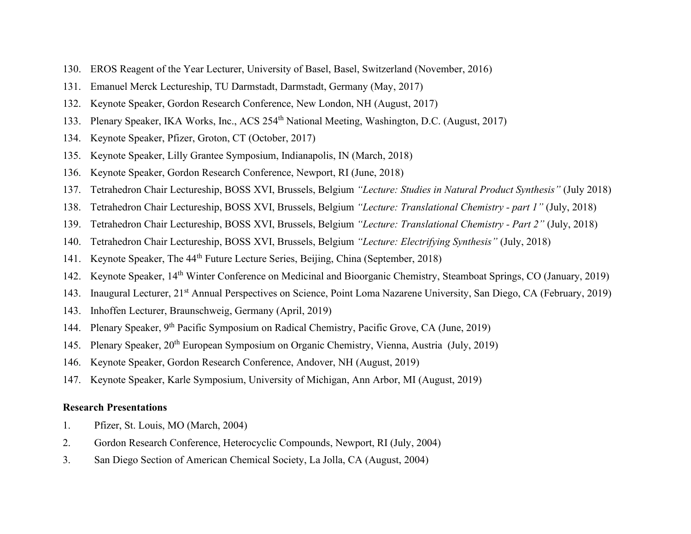- 130. EROS Reagent of the Year Lecturer, University of Basel, Basel, Switzerland (November, 2016)
- 131. Emanuel Merck Lectureship, TU Darmstadt, Darmstadt, Germany (May, 2017)
- 132. Keynote Speaker, Gordon Research Conference, New London, NH (August, 2017)
- 133. Plenary Speaker, IKA Works, Inc., ACS 254<sup>th</sup> National Meeting, Washington, D.C. (August, 2017)
- 134. Keynote Speaker, Pfizer, Groton, CT (October, 2017)
- 135. Keynote Speaker, Lilly Grantee Symposium, Indianapolis, IN (March, 2018)
- 136. Keynote Speaker, Gordon Research Conference, Newport, RI (June, 2018)
- 137. Tetrahedron Chair Lectureship, BOSS XVI, Brussels, Belgium *"Lecture: Studies in Natural Product Synthesis"* (July 2018)
- 138. Tetrahedron Chair Lectureship, BOSS XVI, Brussels, Belgium *"Lecture: Translational Chemistry - part 1"* (July, 2018)
- 139. Tetrahedron Chair Lectureship, BOSS XVI, Brussels, Belgium *"Lecture: Translational Chemistry - Part 2"* (July, 2018)
- 140. Tetrahedron Chair Lectureship, BOSS XVI, Brussels, Belgium *"Lecture: Electrifying Synthesis"* (July, 2018)
- 141. Keynote Speaker, The 44<sup>th</sup> Future Lecture Series, Beijing, China (September, 2018)
- 142. Keynote Speaker, 14th Winter Conference on Medicinal and Bioorganic Chemistry, Steamboat Springs, CO (January, 2019)
- 143. Inaugural Lecturer, 21st Annual Perspectives on Science, Point Loma Nazarene University, San Diego, CA (February, 2019)
- 143. Inhoffen Lecturer, Braunschweig, Germany (April, 2019)
- 144. Plenary Speaker, 9<sup>th</sup> Pacific Symposium on Radical Chemistry, Pacific Grove, CA (June, 2019)
- 145. Plenary Speaker, 20th European Symposium on Organic Chemistry, Vienna, Austria (July, 2019)
- 146. Keynote Speaker, Gordon Research Conference, Andover, NH (August, 2019)
- 147. Keynote Speaker, Karle Symposium, University of Michigan, Ann Arbor, MI (August, 2019)

### **Research Presentations**

- 1. Pfizer, St. Louis, MO (March, 2004)
- 2. Gordon Research Conference, Heterocyclic Compounds, Newport, RI (July, 2004)
- 3. San Diego Section of American Chemical Society, La Jolla, CA (August, 2004)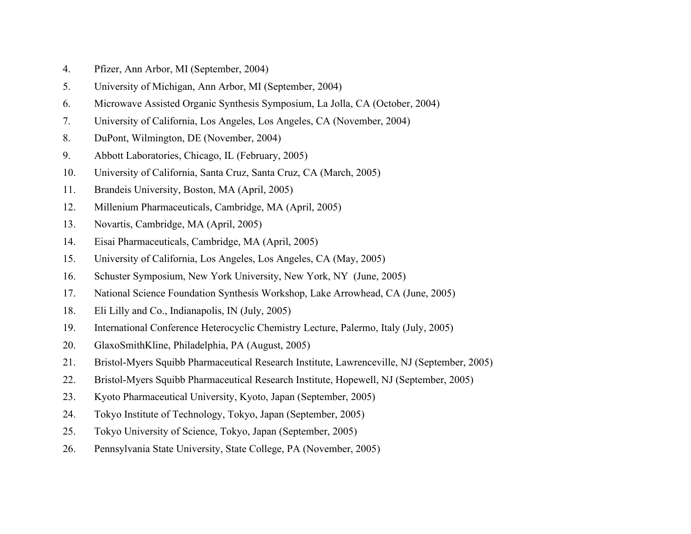- 4. Pfizer, Ann Arbor, MI (September, 2004)
- 5. University of Michigan, Ann Arbor, MI (September, 2004)
- 6. Microwave Assisted Organic Synthesis Symposium, La Jolla, CA (October, 2004)
- 7. University of California, Los Angeles, Los Angeles, CA (November, 2004)
- 8. DuPont, Wilmington, DE (November, 2004)
- 9. Abbott Laboratories, Chicago, IL (February, 2005)
- 10. University of California, Santa Cruz, Santa Cruz, CA (March, 2005)
- 11. Brandeis University, Boston, MA (April, 2005)
- 12. Millenium Pharmaceuticals, Cambridge, MA (April, 2005)
- 13. Novartis, Cambridge, MA (April, 2005)
- 14. Eisai Pharmaceuticals, Cambridge, MA (April, 2005)
- 15. University of California, Los Angeles, Los Angeles, CA (May, 2005)
- 16. Schuster Symposium, New York University, New York, NY (June, 2005)
- 17. National Science Foundation Synthesis Workshop, Lake Arrowhead, CA (June, 2005)
- 18. Eli Lilly and Co., Indianapolis, IN (July, 2005)
- 19. International Conference Heterocyclic Chemistry Lecture, Palermo, Italy (July, 2005)
- 20. GlaxoSmithKline, Philadelphia, PA (August, 2005)
- 21. Bristol-Myers Squibb Pharmaceutical Research Institute, Lawrenceville, NJ (September, 2005)
- 22. Bristol-Myers Squibb Pharmaceutical Research Institute, Hopewell, NJ (September, 2005)
- 23. Kyoto Pharmaceutical University, Kyoto, Japan (September, 2005)
- 24. Tokyo Institute of Technology, Tokyo, Japan (September, 2005)
- 25. Tokyo University of Science, Tokyo, Japan (September, 2005)
- 26. Pennsylvania State University, State College, PA (November, 2005)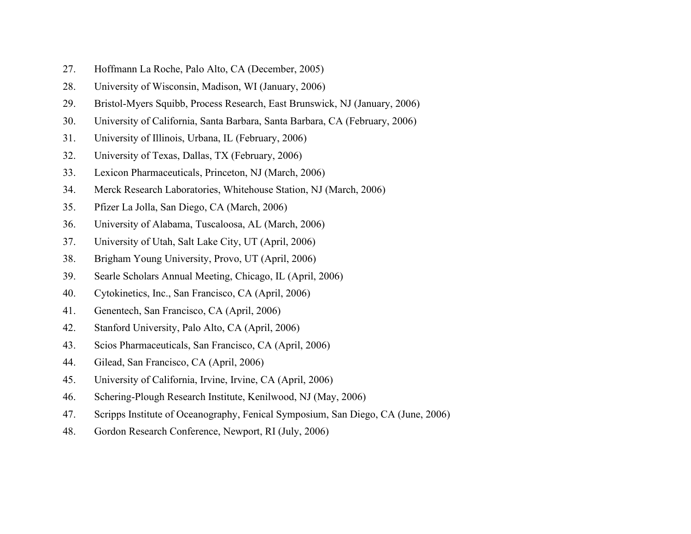- 27. Hoffmann La Roche, Palo Alto, CA (December, 2005)
- 28. University of Wisconsin, Madison, WI (January, 2006)
- 29. Bristol-Myers Squibb, Process Research, East Brunswick, NJ (January, 2006)
- 30. University of California, Santa Barbara, Santa Barbara, CA (February, 2006)
- 31. University of Illinois, Urbana, IL (February, 2006)
- 32. University of Texas, Dallas, TX (February, 2006)
- 33. Lexicon Pharmaceuticals, Princeton, NJ (March, 2006)
- 34. Merck Research Laboratories, Whitehouse Station, NJ (March, 2006)
- 35. Pfizer La Jolla, San Diego, CA (March, 2006)
- 36. University of Alabama, Tuscaloosa, AL (March, 2006)
- 37. University of Utah, Salt Lake City, UT (April, 2006)
- 38. Brigham Young University, Provo, UT (April, 2006)
- 39. Searle Scholars Annual Meeting, Chicago, IL (April, 2006)
- 40. Cytokinetics, Inc., San Francisco, CA (April, 2006)
- 41. Genentech, San Francisco, CA (April, 2006)
- 42. Stanford University, Palo Alto, CA (April, 2006)
- 43. Scios Pharmaceuticals, San Francisco, CA (April, 2006)
- 44. Gilead, San Francisco, CA (April, 2006)
- 45. University of California, Irvine, Irvine, CA (April, 2006)
- 46. Schering-Plough Research Institute, Kenilwood, NJ (May, 2006)
- 47. Scripps Institute of Oceanography, Fenical Symposium, San Diego, CA (June, 2006)
- 48. Gordon Research Conference, Newport, RI (July, 2006)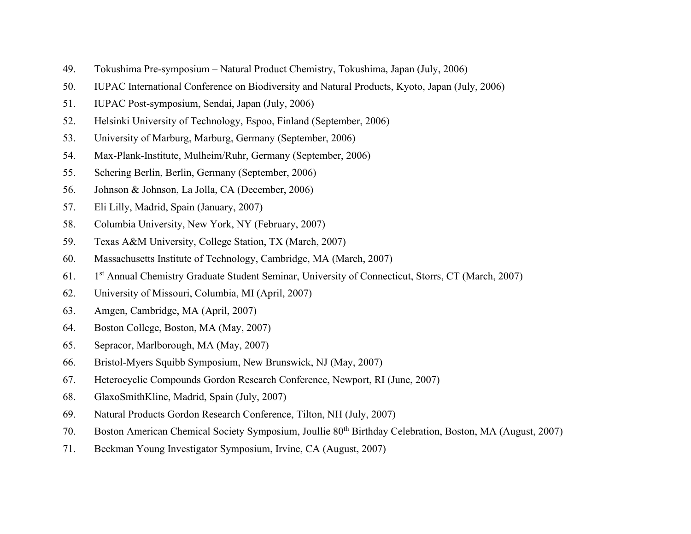- 49. Tokushima Pre-symposium Natural Product Chemistry, Tokushima, Japan (July, 2006)
- 50. IUPAC International Conference on Biodiversity and Natural Products, Kyoto, Japan (July, 2006)
- 51. IUPAC Post-symposium, Sendai, Japan (July, 2006)
- 52. Helsinki University of Technology, Espoo, Finland (September, 2006)
- 53. University of Marburg, Marburg, Germany (September, 2006)
- 54. Max-Plank-Institute, Mulheim/Ruhr, Germany (September, 2006)
- 55. Schering Berlin, Berlin, Germany (September, 2006)
- 56. Johnson & Johnson, La Jolla, CA (December, 2006)
- 57. Eli Lilly, Madrid, Spain (January, 2007)
- 58. Columbia University, New York, NY (February, 2007)
- 59. Texas A&M University, College Station, TX (March, 2007)
- 60. Massachusetts Institute of Technology, Cambridge, MA (March, 2007)
- 61. 1<sup>st</sup> Annual Chemistry Graduate Student Seminar, University of Connecticut, Storrs, CT (March, 2007)
- 62. University of Missouri, Columbia, MI (April, 2007)
- 63. Amgen, Cambridge, MA (April, 2007)
- 64. Boston College, Boston, MA (May, 2007)
- 65. Sepracor, Marlborough, MA (May, 2007)
- 66. Bristol-Myers Squibb Symposium, New Brunswick, NJ (May, 2007)
- 67. Heterocyclic Compounds Gordon Research Conference, Newport, RI (June, 2007)
- 68. GlaxoSmithKline, Madrid, Spain (July, 2007)
- 69. Natural Products Gordon Research Conference, Tilton, NH (July, 2007)
- 70. Boston American Chemical Society Symposium, Joullie 80<sup>th</sup> Birthday Celebration, Boston, MA (August, 2007)
- 71. Beckman Young Investigator Symposium, Irvine, CA (August, 2007)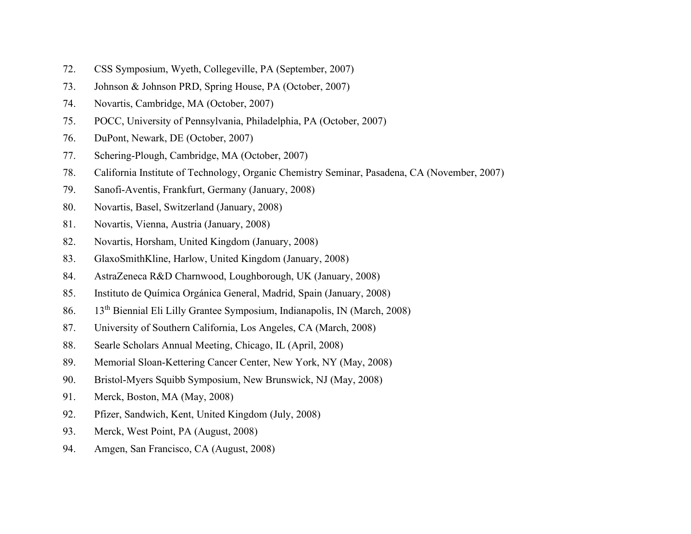- 72. CSS Symposium, Wyeth, Collegeville, PA (September, 2007)
- 73. Johnson & Johnson PRD, Spring House, PA (October, 2007)
- 74. Novartis, Cambridge, MA (October, 2007)
- 75. POCC, University of Pennsylvania, Philadelphia, PA (October, 2007)
- 76. DuPont, Newark, DE (October, 2007)
- 77. Schering-Plough, Cambridge, MA (October, 2007)
- 78. California Institute of Technology, Organic Chemistry Seminar, Pasadena, CA (November, 2007)
- 79. Sanofi-Aventis, Frankfurt, Germany (January, 2008)
- 80. Novartis, Basel, Switzerland (January, 2008)
- 81. Novartis, Vienna, Austria (January, 2008)
- 82. Novartis, Horsham, United Kingdom (January, 2008)
- 83. GlaxoSmithKline, Harlow, United Kingdom (January, 2008)
- 84. AstraZeneca R&D Charnwood, Loughborough, UK (January, 2008)
- 85. Instituto de Química Orgánica General, Madrid, Spain (January, 2008)
- 86. 13th Biennial Eli Lilly Grantee Symposium, Indianapolis, IN (March, 2008)
- 87. University of Southern California, Los Angeles, CA (March, 2008)
- 88. Searle Scholars Annual Meeting, Chicago, IL (April, 2008)
- 89. Memorial Sloan-Kettering Cancer Center, New York, NY (May, 2008)
- 90. Bristol-Myers Squibb Symposium, New Brunswick, NJ (May, 2008)
- 91. Merck, Boston, MA (May, 2008)
- 92. Pfizer, Sandwich, Kent, United Kingdom (July, 2008)
- 93. Merck, West Point, PA (August, 2008)
- 94. Amgen, San Francisco, CA (August, 2008)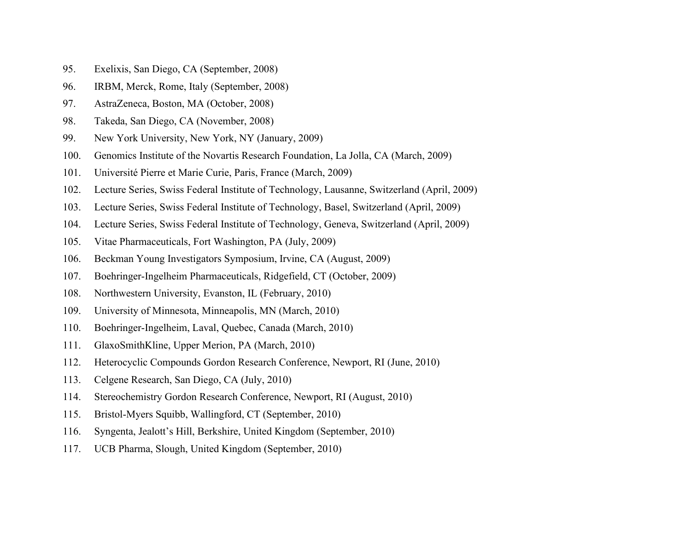- 95. Exelixis, San Diego, CA (September, 2008)
- 96. IRBM, Merck, Rome, Italy (September, 2008)
- 97. AstraZeneca, Boston, MA (October, 2008)
- 98. Takeda, San Diego, CA (November, 2008)
- 99. New York University, New York, NY (January, 2009)
- 100. Genomics Institute of the Novartis Research Foundation, La Jolla, CA (March, 2009)
- 101. Université Pierre et Marie Curie, Paris, France (March, 2009)
- 102. Lecture Series, Swiss Federal Institute of Technology, Lausanne, Switzerland (April, 2009)
- 103. Lecture Series, Swiss Federal Institute of Technology, Basel, Switzerland (April, 2009)
- 104. Lecture Series, Swiss Federal Institute of Technology, Geneva, Switzerland (April, 2009)
- 105. Vitae Pharmaceuticals, Fort Washington, PA (July, 2009)
- 106. Beckman Young Investigators Symposium, Irvine, CA (August, 2009)
- 107. Boehringer-Ingelheim Pharmaceuticals, Ridgefield, CT (October, 2009)
- 108. Northwestern University, Evanston, IL (February, 2010)
- 109. University of Minnesota, Minneapolis, MN (March, 2010)
- 110. Boehringer-Ingelheim, Laval, Quebec, Canada (March, 2010)
- 111. GlaxoSmithKline, Upper Merion, PA (March, 2010)
- 112. Heterocyclic Compounds Gordon Research Conference, Newport, RI (June, 2010)
- 113. Celgene Research, San Diego, CA (July, 2010)
- 114. Stereochemistry Gordon Research Conference, Newport, RI (August, 2010)
- 115. Bristol-Myers Squibb, Wallingford, CT (September, 2010)
- 116. Syngenta, Jealott's Hill, Berkshire, United Kingdom (September, 2010)
- 117. UCB Pharma, Slough, United Kingdom (September, 2010)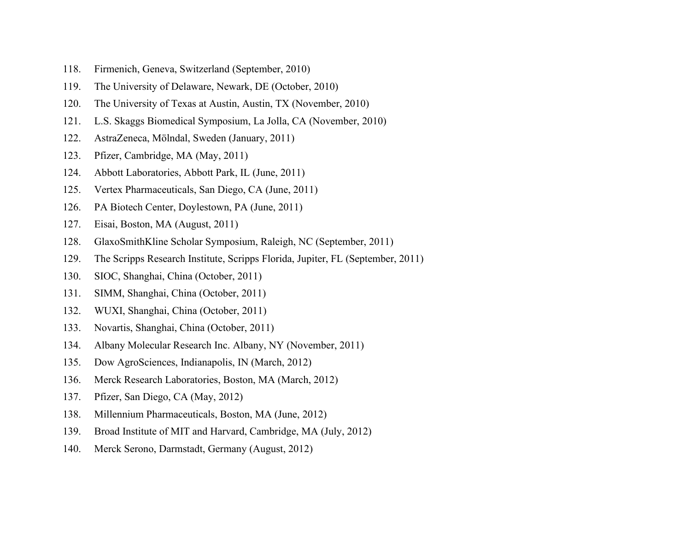- 118. Firmenich, Geneva, Switzerland (September, 2010)
- 119. The University of Delaware, Newark, DE (October, 2010)
- 120. The University of Texas at Austin, Austin, TX (November, 2010)
- 121. L.S. Skaggs Biomedical Symposium, La Jolla, CA (November, 2010)
- 122. AstraZeneca, Mölndal, Sweden (January, 2011)
- 123. Pfizer, Cambridge, MA (May, 2011)
- 124. Abbott Laboratories, Abbott Park, IL (June, 2011)
- 125. Vertex Pharmaceuticals, San Diego, CA (June, 2011)
- 126. PA Biotech Center, Doylestown, PA (June, 2011)
- 127. Eisai, Boston, MA (August, 2011)
- 128. GlaxoSmithKline Scholar Symposium, Raleigh, NC (September, 2011)
- 129. The Scripps Research Institute, Scripps Florida, Jupiter, FL (September, 2011)
- 130. SIOC, Shanghai, China (October, 2011)
- 131. SIMM, Shanghai, China (October, 2011)
- 132. WUXI, Shanghai, China (October, 2011)
- 133. Novartis, Shanghai, China (October, 2011)
- 134. Albany Molecular Research Inc. Albany, NY (November, 2011)
- 135. Dow AgroSciences, Indianapolis, IN (March, 2012)
- 136. Merck Research Laboratories, Boston, MA (March, 2012)
- 137. Pfizer, San Diego, CA (May, 2012)
- 138. Millennium Pharmaceuticals, Boston, MA (June, 2012)
- 139. Broad Institute of MIT and Harvard, Cambridge, MA (July, 2012)
- 140. Merck Serono, Darmstadt, Germany (August, 2012)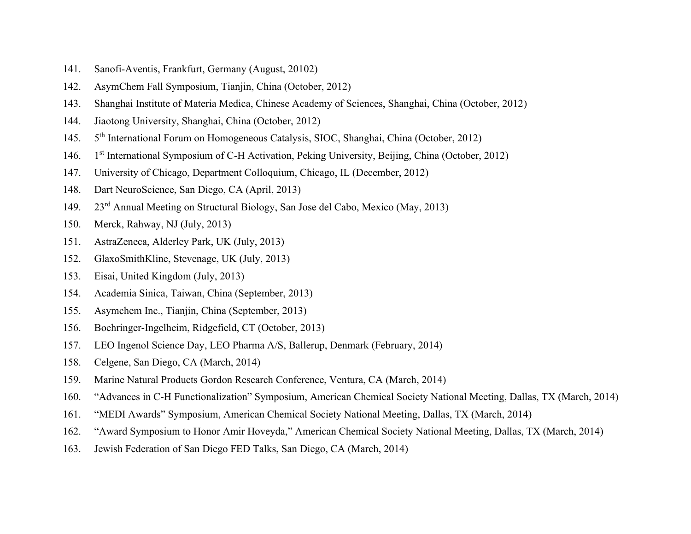- 141. Sanofi-Aventis, Frankfurt, Germany (August, 20102)
- 142. AsymChem Fall Symposium, Tianjin, China (October, 2012)
- 143. Shanghai Institute of Materia Medica, Chinese Academy of Sciences, Shanghai, China (October, 2012)
- 144. Jiaotong University, Shanghai, China (October, 2012)
- $145.$ 5<sup>th</sup> International Forum on Homogeneous Catalysis, SIOC, Shanghai, China (October, 2012)
- 146. 1 1<sup>st</sup> International Symposium of C-H Activation, Peking University, Beijing, China (October, 2012)
- 147. University of Chicago, Department Colloquium, Chicago, IL (December, 2012)
- 148. Dart NeuroScience, San Diego, CA (April, 2013)
- 149. 23rd Annual Meeting on Structural Biology, San Jose del Cabo, Mexico (May, 2013)
- 150. Merck, Rahway, NJ (July, 2013)
- 151. AstraZeneca, Alderley Park, UK (July, 2013)
- 152. GlaxoSmithKline, Stevenage, UK (July, 2013)
- 153. Eisai, United Kingdom (July, 2013)
- 154. Academia Sinica, Taiwan, China (September, 2013)
- 155. Asymchem Inc., Tianjin, China (September, 2013)
- 156. Boehringer-Ingelheim, Ridgefield, CT (October, 2013)
- 157. LEO Ingenol Science Day, LEO Pharma A/S, Ballerup, Denmark (February, 2014)
- 158. Celgene, San Diego, CA (March, 2014)
- 159. Marine Natural Products Gordon Research Conference, Ventura, CA (March, 2014)
- 160. "Advances in C-H Functionalization" Symposium, American Chemical Society National Meeting, Dallas, TX (March, 2014)
- 161. "MEDI Awards" Symposium, American Chemical Society National Meeting, Dallas, TX (March, 2014)
- 162. "Award Symposium to Honor Amir Hoveyda," American Chemical Society National Meeting, Dallas, TX (March, 2014)
- 163. Jewish Federation of San Diego FED Talks, San Diego, CA (March, 2014)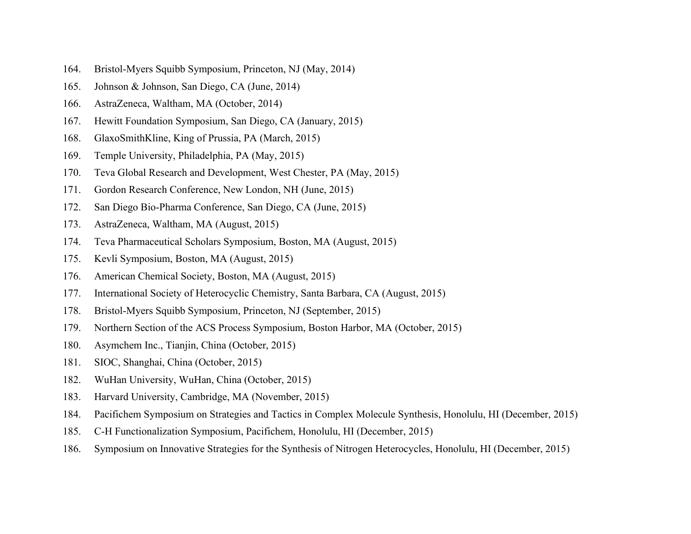- 164. Bristol-Myers Squibb Symposium, Princeton, NJ (May, 2014)
- 165. Johnson & Johnson, San Diego, CA (June, 2014)
- 166. AstraZeneca, Waltham, MA (October, 2014)
- 167. Hewitt Foundation Symposium, San Diego, CA (January, 2015)
- 168. GlaxoSmithKline, King of Prussia, PA (March, 2015)
- 169. Temple University, Philadelphia, PA (May, 2015)
- 170. Teva Global Research and Development, West Chester, PA (May, 2015)
- 171. Gordon Research Conference, New London, NH (June, 2015)
- 172. San Diego Bio-Pharma Conference, San Diego, CA (June, 2015)
- 173. AstraZeneca, Waltham, MA (August, 2015)
- 174. Teva Pharmaceutical Scholars Symposium, Boston, MA (August, 2015)
- 175. Kevli Symposium, Boston, MA (August, 2015)
- 176. American Chemical Society, Boston, MA (August, 2015)
- 177. International Society of Heterocyclic Chemistry, Santa Barbara, CA (August, 2015)
- 178. Bristol-Myers Squibb Symposium, Princeton, NJ (September, 2015)
- 179. Northern Section of the ACS Process Symposium, Boston Harbor, MA (October, 2015)
- 180. Asymchem Inc., Tianjin, China (October, 2015)
- 181. SIOC, Shanghai, China (October, 2015)
- 182. WuHan University, WuHan, China (October, 2015)
- 183. Harvard University, Cambridge, MA (November, 2015)
- 184. Pacifichem Symposium on Strategies and Tactics in Complex Molecule Synthesis, Honolulu, HI (December, 2015)
- 185. C-H Functionalization Symposium, Pacifichem, Honolulu, HI (December, 2015)
- 186. Symposium on Innovative Strategies for the Synthesis of Nitrogen Heterocycles, Honolulu, HI (December, 2015)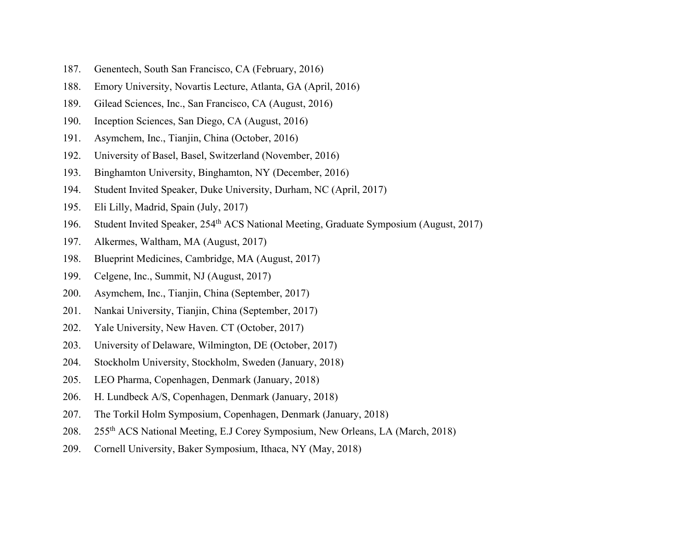- 187. Genentech, South San Francisco, CA (February, 2016)
- 188. Emory University, Novartis Lecture, Atlanta, GA (April, 2016)
- 189. Gilead Sciences, Inc., San Francisco, CA (August, 2016)
- 190. Inception Sciences, San Diego, CA (August, 2016)
- 191. Asymchem, Inc., Tianjin, China (October, 2016)
- 192. University of Basel, Basel, Switzerland (November, 2016)
- 193. Binghamton University, Binghamton, NY (December, 2016)
- 194. Student Invited Speaker, Duke University, Durham, NC (April, 2017)
- 195. Eli Lilly, Madrid, Spain (July, 2017)
- 196. Student Invited Speaker, 254<sup>th</sup> ACS National Meeting, Graduate Symposium (August, 2017)
- 197. Alkermes, Waltham, MA (August, 2017)
- 198. Blueprint Medicines, Cambridge, MA (August, 2017)
- 199. Celgene, Inc., Summit, NJ (August, 2017)
- 200. Asymchem, Inc., Tianjin, China (September, 2017)
- 201. Nankai University, Tianjin, China (September, 2017)
- 202. Yale University, New Haven. CT (October, 2017)
- 203. University of Delaware, Wilmington, DE (October, 2017)
- 204. Stockholm University, Stockholm, Sweden (January, 2018)
- 205. LEO Pharma, Copenhagen, Denmark (January, 2018)
- 206. H. Lundbeck A/S, Copenhagen, Denmark (January, 2018)
- 207. The Torkil Holm Symposium, Copenhagen, Denmark (January, 2018)
- 208. 255th ACS National Meeting, E.J Corey Symposium, New Orleans, LA (March, 2018)
- 209. Cornell University, Baker Symposium, Ithaca, NY (May, 2018)